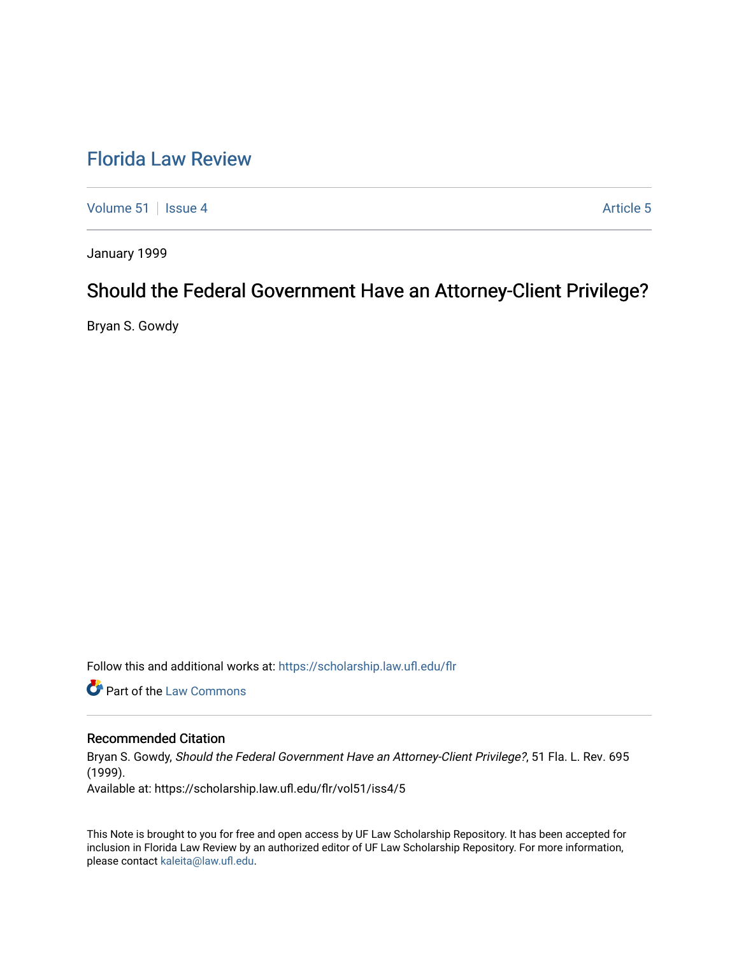# [Florida Law Review](https://scholarship.law.ufl.edu/flr)

[Volume 51](https://scholarship.law.ufl.edu/flr/vol51) | [Issue 4](https://scholarship.law.ufl.edu/flr/vol51/iss4) Article 5

January 1999

# Should the Federal Government Have an Attorney-Client Privilege?

Bryan S. Gowdy

Follow this and additional works at: [https://scholarship.law.ufl.edu/flr](https://scholarship.law.ufl.edu/flr?utm_source=scholarship.law.ufl.edu%2Fflr%2Fvol51%2Fiss4%2F5&utm_medium=PDF&utm_campaign=PDFCoverPages)

**Part of the [Law Commons](http://network.bepress.com/hgg/discipline/578?utm_source=scholarship.law.ufl.edu%2Fflr%2Fvol51%2Fiss4%2F5&utm_medium=PDF&utm_campaign=PDFCoverPages)** 

### Recommended Citation

Bryan S. Gowdy, Should the Federal Government Have an Attorney-Client Privilege?, 51 Fla. L. Rev. 695 (1999).

Available at: https://scholarship.law.ufl.edu/flr/vol51/iss4/5

This Note is brought to you for free and open access by UF Law Scholarship Repository. It has been accepted for inclusion in Florida Law Review by an authorized editor of UF Law Scholarship Repository. For more information, please contact [kaleita@law.ufl.edu](mailto:kaleita@law.ufl.edu).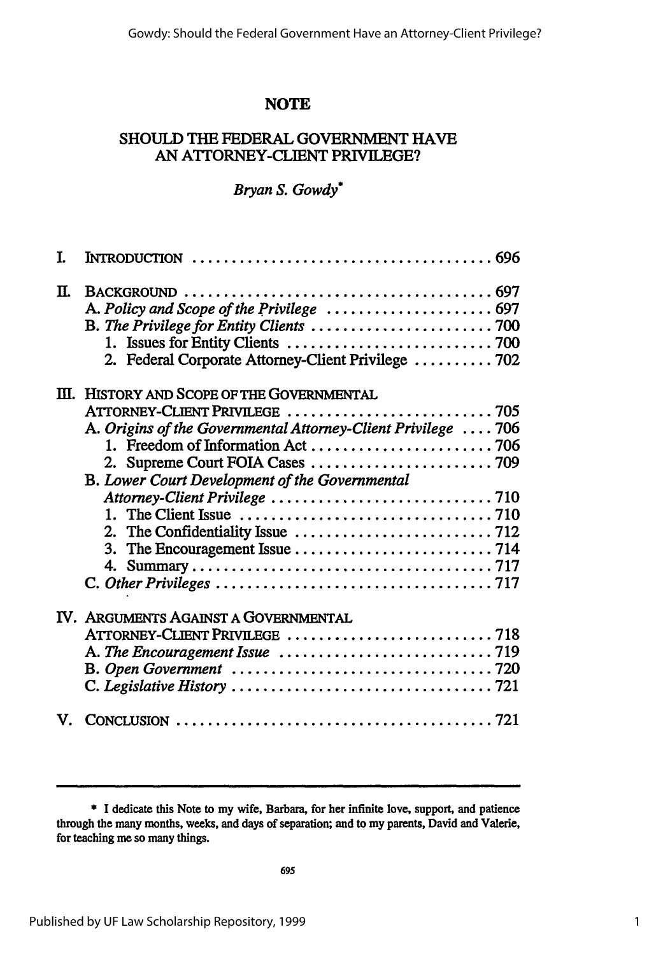# **NOTE**

# **SHOULD** THE FEDERAL **GOVERNMENT HAVE AN ATTORNEY-CLIENT PRIVILEGE?**

# *Bryan S. Gowdy"*

| I. |                                                                                                                                                                                                                                                                         |  |
|----|-------------------------------------------------------------------------------------------------------------------------------------------------------------------------------------------------------------------------------------------------------------------------|--|
| П. | 2. Federal Corporate Attorney-Client Privilege  702                                                                                                                                                                                                                     |  |
|    | III. HISTORY AND SCOPE OF THE GOVERNMENTAL<br>A. Origins of the Governmental Attorney-Client Privilege  706<br>B. Lower Court Development of the Governmental<br>1. The Client Issue $\ldots \ldots \ldots \ldots \ldots \ldots \ldots \ldots \ldots \ldots \ldots$ 710 |  |
|    | IV. ARGUMENTS AGAINST A GOVERNMENTAL<br>B. Open Government $\ldots \ldots \ldots \ldots \ldots \ldots \ldots \ldots \ldots \ldots \ldots$ 720                                                                                                                           |  |
| V. | CONCLUSION $\ldots \ldots \ldots \ldots \ldots \ldots \ldots \ldots \ldots \ldots \ldots \ldots$                                                                                                                                                                        |  |

**\*** I dedicate this Note to my wife, Barbara, for her infinite love, support, and patience through the many months, weeks, and days of separation; and to my parents, David and Valerie, for teaching me so many things.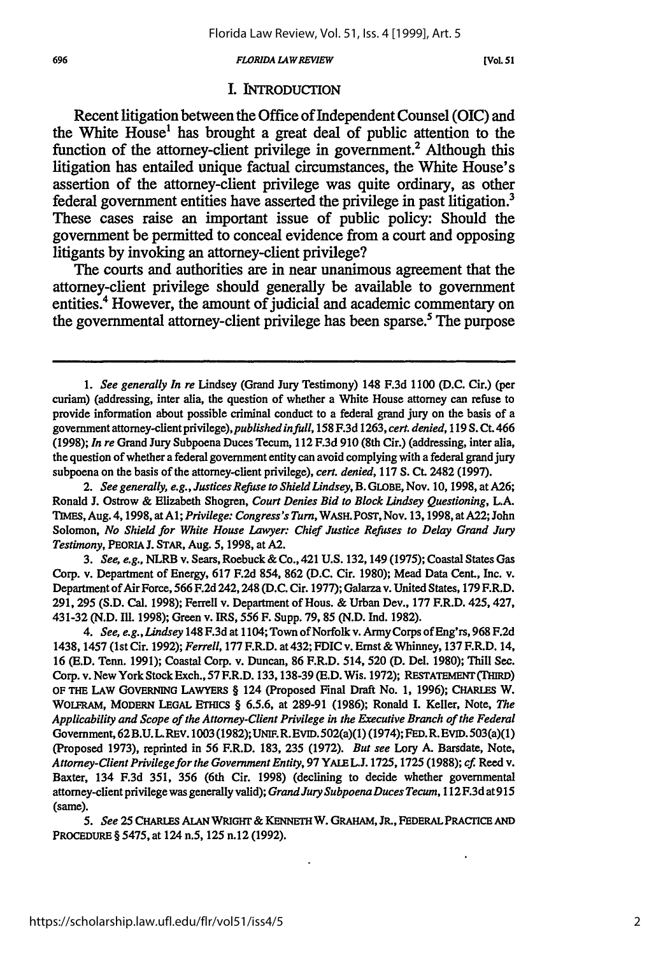#### **696** *FLORIDA LAW REVIEW* **[VoL.51**

### **I. INTRODUCTION**

Recent litigation between the Office of Independent Counsel (OIC) and the White House<sup>1</sup> has brought a great deal of public attention to the function of the attorney-client privilege in government.<sup>2</sup> Although this litigation has entailed unique factual circumstances, the White House's assertion of the attorney-client privilege was quite ordinary, as other federal government entities have asserted the privilege in past litigation.<sup>3</sup> These cases raise an important issue of public policy: Should the government be permitted to conceal evidence from a court and opposing litigants **by** invoking an attorney-client privilege?

The courts and authorities are in near unanimous agreement that the attorney-client privilege should generally be available to government entities.4 However, the amount of judicial and academic commentary on the governmental attorney-client privilege has been sparse.<sup>5</sup> The purpose

*3. See, e.g.,* NLRB v. Sears, Roebuck & Co., 421 **U.S.** 132,149 (1975); Coastal States Gas Corp. v. Department of Energy, 617 F.2d 854, **862** (D.C. Cir. 1980); Mead Data Cent., Inc. v. Department of Air Force, 566 F.2d 242, 248 (D.C. Cir. 1977); Galarza v. United States, 179 F.R.D. 291, **295** (S.D. Cal. 1998); Ferrell v. Department of Hous. & Urban Dev., 177 F.R.D. 425, 427, 431-32 (N.D. IUl. 1998); Green v. IRS, 556 F. Supp. 79, 85 (N.D. Ind. 1982).

*4. See, e.g., Lindsey* 148 F.3d at 1104; Town of Norfolk v. Army Corps of Eng'rs, 968 F.2d 1438, 1457 (1st Cir. 1992); *Ferrell,* 177 F.R.D. at 432; FDIC v. Ernst & Whinney, 137 F.R.D. 14, 16 (E.D. Tenn. 1991); Coastal Corp. v. Duncan, 86 F.R.D. 514, 520 **(D.** Del. 1980); Thill See. Corp. v. New York Stock Exch., 57 F.R.D. 133,138-39 (E.D. Wis. 1972); RESTATEMENT (THIRD) OF THE **LAW** GOVERNING LAWYERS § 124 (Proposed Final Draft No. 1, **1996);** CHARLES W. WOLFRAM, MODERN **LEGAL** ETHICS § 6.5.6, at 289-91 (1986); Ronald I. Keller, Note, *The Applicability and Scope of the Attorney-Client Privilege in the Executive Branch of the Federal* Government, 62B.U.L.REv. 1003 (1982);UNIF.R.EVID.502(a)(1) (1974); FED.R. EVID.503(a)(1) (Proposed 1973), reprinted in 56 F.R.D. 183, **235** (1972). *But see* Lory A. Barsdate, Note, *Attorney-ClientPrivilegefor the Government Entity,* 97 YALEL.J. 1725,1725 (1988); *cf.* Reed v. Baxter, 134 F.3d 351, 356 (6th Cir. 1998) (declining to decide whether governmental attorney-client privilege was generally valid); *Grand Jury Subpoena Duces Tecum,* **112F.3d** at915 (same).

*5. See* **25** CHARLES **ALAN** WRIGHT & KENET W. GRAHAM, **JR.,** FEDERAL PRACIiCE **AND** PROCEDURE § **5475,** at 124 n.5, **125** n.12 **(1992).**

*<sup>1.</sup> See generally In re* Lindsey (Grand Jury Testimony) 148 F.3d 1100 (D.C. Cir.) (per curiam) (addressing, inter alia, the question of whether a White House attorney can refuse to provide information about possible criminal conduct to a federal grand jury on the basis of a government *attomey-clientprivilege),publishedinfuill,* 158 F.3d 1263, *cert. denied,* 119 S. Ct. 466 (1998); *In re* Grand Jury Subpoena Duces Tecum, 112 F.3d 910 (8th Cir.) (addressing, inter alia, the question of whether a federal government entity can avoid complying with a federal grand jury subpoena on the basis of the attorney-client privilege), *cert. denied,* 117 **S. Ct.** 2482 (1997).

*<sup>2.</sup> See generally, e.g., Justices Refuse to Shield Lindsey,* B. GLOBE, Nov. 10, 1998, at A26; Ronald J. Ostrow & Elizabeth Shogren, *Court Denies Bid to Block Lindsey Questioning, L.A.* TIMES, Aug. 4,1998, atAl; *Privilege: Congress's Turn,* WASH. POST, Nov. 13,1998, at A22; John Solomon, *No Shield for White House Lawyer: Chief Justice Refuses to Delay Grand Jury Testimony,* PEORIA J. STAR, Aug. 5, 1998, at **A2.**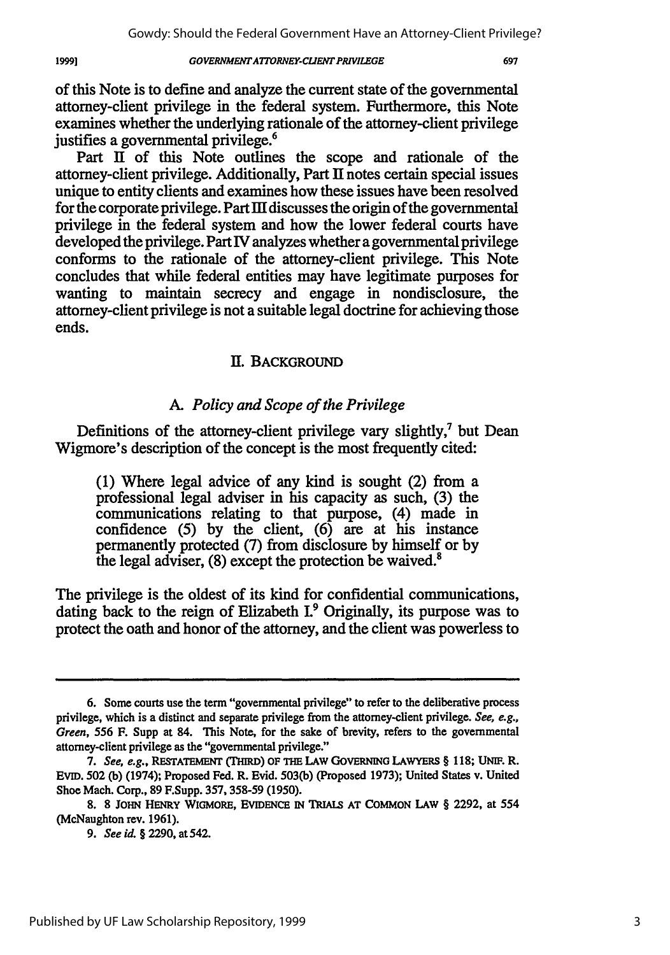**1999]**

of this Note is to define and analyze the current state of the governmental attorney-client privilege in the federal system. Furthermore, this Note examines whether the underlying rationale of the attorney-client privilege justifies a governmental privilege.<sup>6</sup>

Part II of this Note outlines the scope and rationale of the attorney-client privilege. Additionally, Part II notes certain special issues unique to entity clients and examines how these issues have been resolved for the corporate privilege. Part III discusses the origin of the governmental privilege in the federal system and how the lower federal courts have developed the privilege. Part IV analyzes whether a governmental privilege conforms to the rationale of the attorney-client privilege. This Note concludes that while federal entities may have legitimate purposes for wanting to maintain secrecy and engage in nondisclosure, the attorney-client privilege is not a suitable legal doctrine for achieving those ends.

## IH. BACKGROUND

## *A. Policy and Scope of the Privilege*

Definitions of the attorney-client privilege vary slightly, $\lambda$  but Dean Wigmore's description of the concept is the most frequently cited:

(1) Where legal advice of any kind is sought (2) from a professional legal adviser in his capacity as such, (3) the communications relating to that purpose, (4) made in confidence (5) by the client, (6) are at his instance permanently protected (7) from disclosure by himself or by the legal adviser,  $(8)$  except the protection be waived.<sup>8</sup>

The privilege is the oldest of its kind for confidential communications, dating back to the reign of Elizabeth I.<sup>9</sup> Originally, its purpose was to protect the oath and honor of the attorney, and the client was powerless to

**<sup>6.</sup>** Some courts use the term "governmental privilege" to refer to the deliberative process privilege, which is a distinct and separate privilege from the attorney-client privilege. *See, e.g., Green,* 556 F. Supp at 84. This Note, for the sake of brevity, refers to the governmental attorney-client privilege as the "governmental privilege."

*<sup>7.</sup> See, e.g.,* **RESTATEMENT (THIRD) OF THE LAW GOVERNING** LAWYERS § 118; **UNIF.** R. EvID. 502 **(b)** (1974); Proposed Fed. R. Evid. **503(b)** (Proposed 1973); United States v. United Shoe Mach. Corp., **89** F.Supp. 357,358-59 (1950).

<sup>8. 8</sup> **JOHN** HENRY WIGMoRE, **EvIDENCE IN TRIALS AT** COMMON LAW § 2292, at 554 (McNaughton rev. 1961).

*<sup>9.</sup> See id.* § 2290, at 542.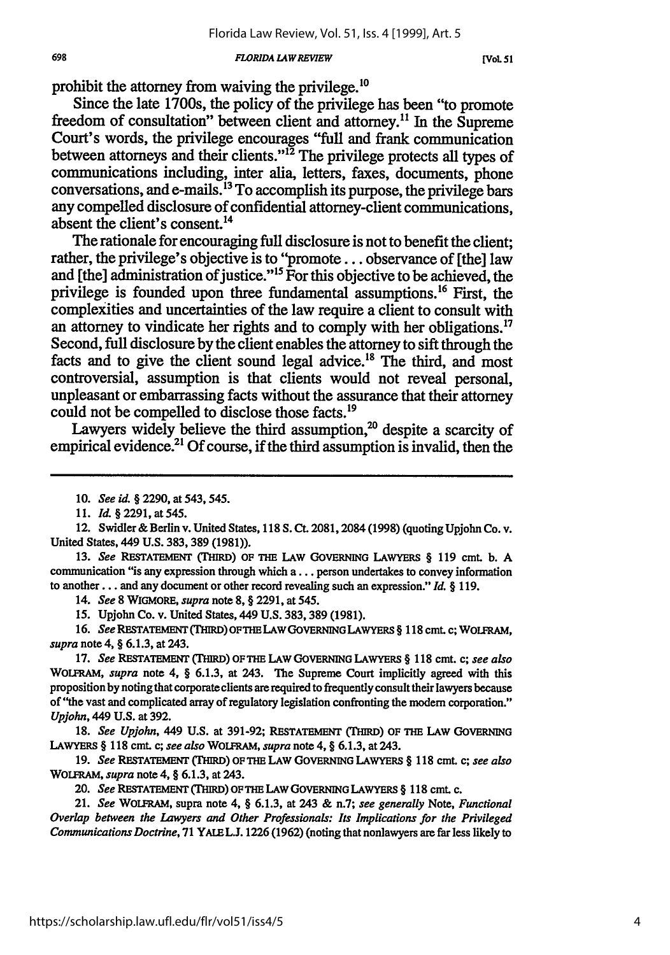#### *FLORIDA LAW REVIEW*

 $[Vol. 51]$ 

prohibit the attorney from waiving the privilege.'0

Since the late 1700s, the policy of the privilege has been "to promote freedom of consultation" between client and attorney.<sup>11</sup> In the Supreme Court's words, the privilege encourages "full and frank communication between attorneys and their clients."<sup>12</sup> The privilege protects all types of communications including, inter alia, letters, faxes, documents, phone conversations, and e-mails.13 To accomplish its purpose, the privilege bars any compelled disclosure of confidential attorney-client communications, absent the client's consent.'4

The rationale for encouraging full disclosure is not to benefit the client; rather, the privilege's objective is to **"promote...** observance of [the] law and [the] administration of justice."<sup>15</sup> For this objective to be achieved, the privilege is founded upon three fundamental assumptions.16 First, the complexities and uncertainties of the law require a client to consult with an attorney to vindicate her rights and to comply with her obligations.<sup>17</sup> Second, full disclosure **by** the client enables the attorney to sift through the facts and to give the client sound legal advice.<sup>18</sup> The third, and most controversial, assumption is that clients would not reveal personal, unpleasant or embarrassing facts without the assurance that their attorney could not be compelled to disclose those facts.<sup>19</sup>

Lawyers widely believe the third assumption, $^{20}$  despite a scarcity of empirical evidence.<sup>21</sup> Of course, if the third assumption is invalid, then the

13. *See* **RESTATEMENT** (THIRD) OF **THE** LAW GOVERNING LAWYERS § 119 cmt. b. **A** communication "is any expression through which a **...** person undertakes to convey information to another... and any document or other record revealing such an expression." *Id. §* 119.

14. *See* **8** WIGMORE, *supra* note **8,** § 2291, at 545.

15. Upjohn Co. v. United States, 449 **U.S.** 383, 389 (1981).

16. See RESTATEMENT (THIRD) OF THE LAW GOVERNING LAWYERS § 118 cmt. c; WOLFRAM, *supra* note 4, *§* 6.1.3, at 243.

17. *See* RESTATEMENT TMRD) OF THE LAw GOVERNING LAWYERS *§* 118 cmt. *c; see also* WOLFRAM, *supra* note 4, § 6.1.3, at 243. The Supreme Court implicitly agreed with this proposition **by** noting that corporate clients are required to frequently consult their lawyers because of "the vast and complicated array of regulatory legislation confronting the modem corporation." *Upjohn,* 449 **U.S.** at 392.

18. *See Upjohn,* 449 **U.S.** at 391-92; **RESTATEMENT** (THIRD) **OF** THE **LAW GOVERNING** LAWYERS § **118** cmt. c; *see also* WOLFRAM, *supra* note 4, § 6.1.3, at 243.

*19. See* **RESTATEMEN** (TMIRD) **OF** THE LAW **GOVERNING** LAWYERS § **118** cmt. c; *see also* WOLFRAM, *supra* note 4, § **6.1.3,** at 243.

20. *See* RESTATEMENT (THIRD) OF THE LAW GOVERNING LAWYERS § 118 cmt. c.

21. *See* WOLFRAM, supra note 4, § **6.1.3,** at 243 & n.7; *see generally* Note, *Functional Overlap between the Lawyers and Other Professionals: Its Implications for the Privileged Communications Doctrine,* **71** YALELJ. **1226 (1962)** (noting that nonlawyers are far less likely to

<sup>10.</sup> *See id.* § 2290, at 543, 545.

<sup>11.</sup> *Id.* § 2291, at 545.

<sup>12.</sup> Swidler &Berlin v. United States, 118 **S.** Ct. 2081,2084 (1998) (quoting Upjohn Co. v. United States, 449 U.S. 383, 389 (1981)).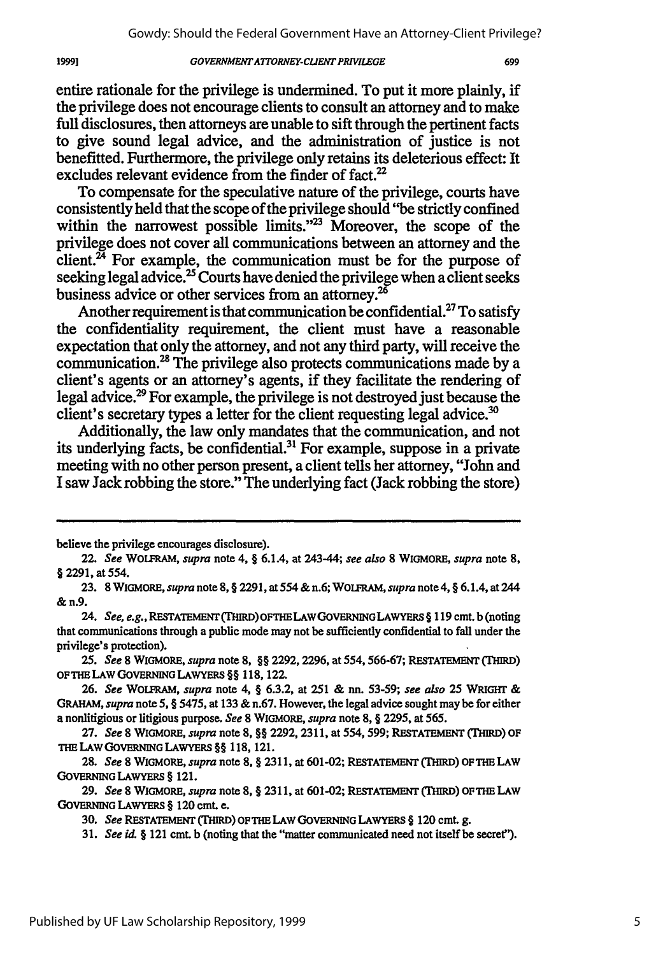entire rationale for the privilege is undermined. To put it more plainly, if the privilege does not encourage clients to consult an attorney and to make full disclosures, then attorneys are unable to sift through the pertinent facts to give sound legal advice, and the administration of justice is not benefitted. Furthermore, the privilege only retains its deleterious effect: It excludes relevant evidence from the finder of fact.<sup>22</sup>

To compensate for the speculative nature of the privilege, courts have consistently held that the scope of the privilege should "be strictly confined within the narrowest possible limits."<sup>23</sup> Moreover, the scope of the privilege does not cover all communications between an attorney and the  $\tilde{c}$ lient.<sup> $\tilde{z}$ </sup> For example, the communication must be for the purpose of seeking legal advice.<sup>25</sup> Courts have denied the privilege when a client seeks business advice or other services from an attorney.<sup>26</sup>

Another requirement is that communication be confidential.<sup>27</sup> To satisfy the confidentiality requirement, the client must have a reasonable expectation that only the attorney, and not any third party, will receive the communication.<sup>28</sup> The privilege also protects communications made by a client's agents or an attorney's agents, if they facilitate the rendering of legal advice.29 For example, the privilege is not destroyed just because the client's secretary types a letter for the client requesting legal advice.<sup>30</sup>

Additionally, the law only mandates that the communication, and not its underlying facts, be confidential. $31$  For example, suppose in a private meeting with no other person present, a client tells her attorney, "John and **I** saw Jack robbing the store." The underlying fact (Jack robbing the store)

19991

*25. See* 8 WIGMORE, *supra* note **8,** §§ 2292,2296, at 554,566-67; RESTATEMENT **(TImD)** OFTHELAW **GOVERNING** LAWYERS §§ 118,122.

**29.** *See* 8 WIGMORE, *supra* note **8,** § **2311,** at **601-02; RESTATEMENT (THIRD) OFTHE** LAW **GOVERNING** LAWYERS § 120 cmt. e.

believe the privilege encourages disclosure).

<sup>22.</sup> *See* WOLFRAM, *supra* note 4, § 6.1.4, at 243-44; *see also* 8 WIGMORE, *supra* note 8, § 2291, at 554.

<sup>23. 8</sup> WIGMORE, *supra* note 8, § 2291, at 554 &n.6; WOLFRAM, *supra* note4, § 6.1.4, at 244 **&** n.9.

<sup>24.</sup> *See, e.g.,* **RESTATEMENT** (THIRD)OFTHELAWGOVERNINGLAWYERS § 119 cmt. b (noting that communications through a public mode may not be sufficiently confidential to fall under the privilege's protection).

**<sup>26.</sup>** *See* WOLFRAM, *supra* note 4, § **6.3.2,** at 251 & nn. 53-59; *see also* 25 WRIGHT & *GRAHAM,* supra note 5, § 5475, at **133** & n.67. However, the legal advice sought may be for either a nonlitigious or litigious purpose. *See* 8 WIGMORE, *supra* note 8, § **2295,** at 565.

**<sup>27.</sup>** *See* 8 WIGMORE, *supra* note 8, §§ **2292, 2311,** at 554,599; RESTATEMENT (THIRD) OF **THE** LAW GOVERNING LAWYERS §§ 118,121.

**<sup>28.</sup>** *See* 8 WIGMORE, *supra* note 8, § **2311,** at **601-02;** RESTATEMENT **(THIRD)** OF THE LAW **GOVERNING** LAWYERS § 121.

**<sup>30.</sup>** *See* RESTATEMENT (THIRD) OF THE LAW **GOVERNING** LAWYERS § 120 cmt. g.

**<sup>31.</sup>** *See id. §* 121 cmt. b (noting that the "matter communicated need not itself be secret").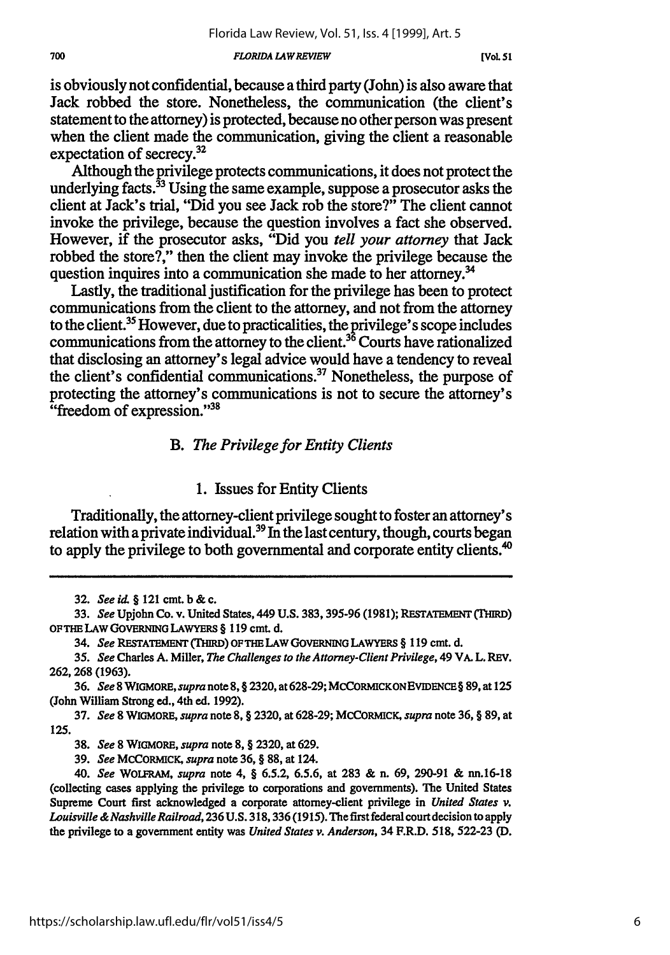#### *FLORIDA LA WREVIEW*

is obviously not confidential, because a third party (John) is also aware that Jack robbed the store. Nonetheless, the communication (the client's statement to the attorney) is protected, because no other person was present when the client made the communication, giving the client a reasonable expectation of secrecy. $32$ 

Although the privilege protects communications, it does not protect the underlying facts.<sup>33</sup> Using the same example, suppose a prosecutor asks the client at Jack's trial, "Did you see Jack rob the store?" The client cannot invoke the privilege, because the question involves a fact she observed. However, if the prosecutor asks, "Did you *tell your attorney* that Jack robbed the store?," then the client may invoke the privilege because the question inquires into a communication she made to her attorney.<sup>34</sup>

Lastly, the traditional justification for the privilege has been to protect communications from the client to the attorney, and not from the attorney to the client.35 However, due to practicalities, the privilege's scope includes communications from the attorney to the client.<sup>36</sup> Courts have rationalized that disclosing an attorney's legal advice would have a tendency to reveal the client's confidential communications.<sup>37</sup> Nonetheless, the purpose of protecting the attorney's communications is not to secure the attorney's "freedom of expression."<sup>38</sup>

### *B. The Privilege for Entity Clients*

### **1.** Issues for Entity Clients

Traditionally, the attorney-client privilege sought to foster an attorney's relation with a private individual.<sup>39</sup> In the last century, though, courts began to apply the privilege to both governmental and corporate entity clients.<sup>40</sup>

**<sup>32.</sup>** *See id.* **§** 121 cmt. **b &** c.

**<sup>33.</sup>** *See* Upjohn Co. v. United States, 449 **U.S. 383, 395-96 (1981); RESTATEMENT (THIRD) OFTHE LAW GOVERNING LAWYERS** § **119 cmt. d.**

<sup>34.</sup> *See* **RESTATEMENT (THIRD) OFTHE LAW GOVERNING LAWYERS** § **119** cmt. **d.**

**<sup>35.</sup>** *See* Charles **A.** Miller, *The Challenges to the Attorney-Client Privilege,* 49 VA. L. **REV. 262, 268 (1963).**

**<sup>36.</sup>** *See 8WIGMORE, supra* note **8,** § **2320,** at **628-29; MCCORMICKONEVIDENCE§ 89,** at 125 (John William Strong ed., 4th ed. **1992).**

**<sup>37.</sup>** *See* **8** WIGMORE, *supra* note **8,** § **2320,** at **628-29; MCCORMICK,** *supra* note **36,** § **89,** at **125.**

**<sup>38.</sup>** *See* **8** WIGMORE, *supra* note **8,** § **2320,** at **629.**

**<sup>39.</sup>** *See* **MCCORMICK,** *supra* note **36,** § **88,** at 124.

<sup>40.</sup> *See* **WOLFRAM,** *supra* note 4, § **6.5.2, 6.5.6,** at **283 &** n. **69, 290-91 &** nn.16-18 (collecting cases applying the privilege to corporations and governments). **The** United States Supreme Court first acknowledged a corporate attorney-client privilege in *United States v. Louisville & Nashville Railroad,* **236 U.S. 318,336 (1915).** The first federal court decision to apply the privilege to a government entity was *United States v. Anderson,* 34 F.R.D. **518, 522-23 (D.**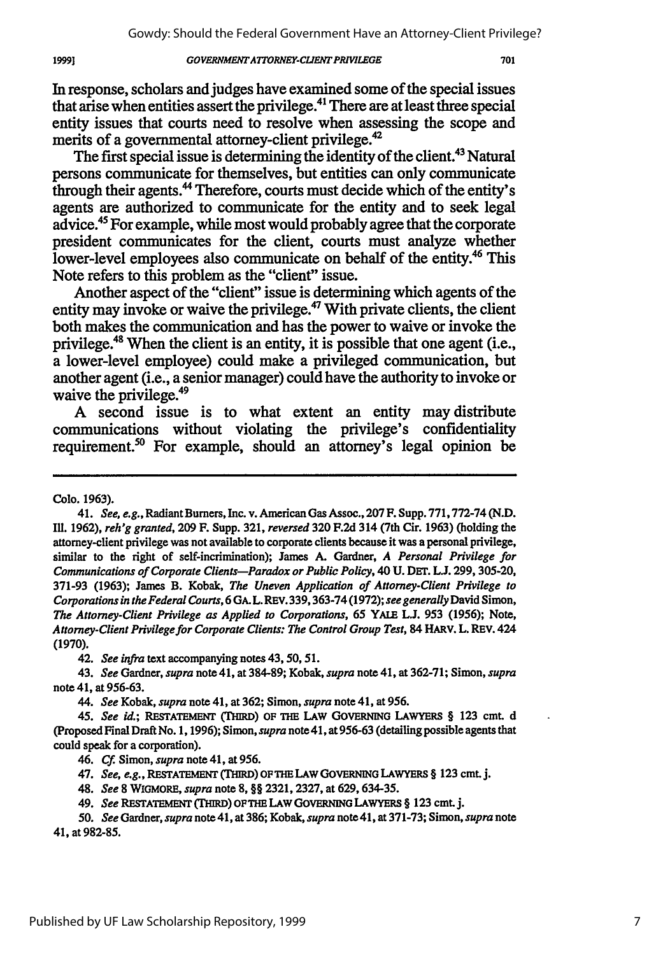In response, scholars and judges have examined some of the special issues that arise when entities assert the privilege." There are at least three special entity issues that courts need to resolve when assessing the scope and merits of a governmental attorney-client privilege.<sup>4</sup>

The first special issue is determining the identity of the client.<sup>43</sup> Natural persons communicate for themselves, but entities can only communicate through their agents.<sup>44</sup> Therefore, courts must decide which of the entity's agents are authorized to communicate for the entity and to seek legal advice.45 For example, while most would probably agree that the corporate president communicates for the client, courts must analyze whether lower-level employees also communicate on behalf of the entity.<sup>46</sup> This Note refers to this problem as the "client" issue.

Another aspect of the "client" issue is determining which agents of the entity may invoke or waive the privilege.<sup>47</sup> With private clients, the client both makes the communication and has the power to waive or invoke the privilege.48 When the client is an entity, it is possible that one agent (i.e., a lower-level employee) could make a privileged communication, but another agent (i.e., a senior manager) could have the authority to invoke or waive the privilege.<sup>49</sup>

**A** second issue is to what extent an entity may distribute communications without violating the privilege's confidentiality requirement.<sup>50</sup> For example, should an attorney's legal opinion be

Colo. 1963).

42. *See infra* text accompanying notes 43,50,51.

*44. See* Kobak, *supra* note 41, at 362; Simon, *supra* note 41, at 956.

<sup>41.</sup> *See, e.g.,* Radiant Burners, Inc. v. American Gas Assoc., 207 F. Supp. 771,772-74 (N.D. **Ill.** 1962), *reh'g granted,* 209 F. Supp. 321, *reversed* 320 F.2d 314 (7th Cir. 1963) (holding the attorney-client privilege was not available to corporate clients because it was a personal privilege, similar to the right of self-incrimination); James A. Gardner, *A Personal Privilege for* Communications *of Corporate Clients-Paradox or Public Policy,* 40 U. DET. L.J. 299, 305-20, 371-93 (1963); James B. Kobak, *The Uneven Application of* Attorney-Client *Privilege to Corporationsin the Federal Courts,* 6 **GA.** L.REV. 339,363-74 (1972); *see generally* David Simon, *The Attorney-Client Privilege as Applied to Corporations, 65* YALE **L.J.** 953 (1956); Note, *Attorney-Client Privilege for Corporate Clients: The Control Group Test,* 84 HARV. L. REV. 424 (1970).

<sup>43.</sup> *See* Gardner, *supra* note 41, at 384-89; Kobak, *supra* note 41, at 362-71; Simon, *supra* note 41, at 956-63.

<sup>45.</sup> *See id.;* **RESTATEMENT (TM=)** OF **THE LAW GOVERNING LAWYERS** § **123** cmt. **d** (Proposed Final Draft No. 1,1996); Simon, *supra* note 41, at 956-63 (detailing possible agents that could speak for a corporation).

<sup>46.</sup> **Cf.** Simon, *supra* note 41, at 956.

<sup>47.</sup> *See, e.g.,* **RESTATEMENT (rHIRD) OFTHE LAW GOVERNING** LAWYERS § **123** cmt. **j.**

<sup>48.</sup> *See* **8** WIGMORE, *supra* note 8, §§ 2321,2327, at 629,634-35.

<sup>49.</sup> *See* **RESTATEMENT (THIRD) OFTHE LAW** GOVERNING LAWYERS § **123** cmt. **j.**

*<sup>50.</sup> See* Gardner, *supra* note 41, at **386;** Kobak, *supra* note 41, at **371-73;** Simon, *supra* note 41, at **982-85.**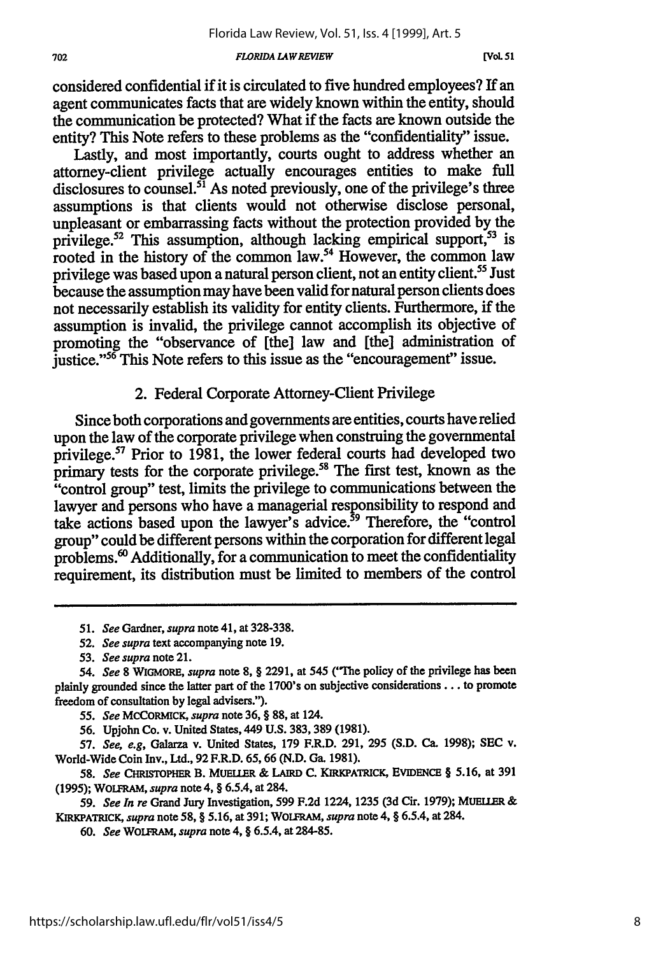#### *FLORIDA LAWREVIEW*

considered confidential if it is circulated to five hundred employees? If an agent communicates facts that are widely known within the entity, should the communication be protected? What if the facts are known outside the entity? This Note refers to these problems as the "confidentiality" issue.

Lastly, and most importantly, courts ought to address whether an attorney-client privilege actually encourages entities to make full disclosures to counsel.<sup>51</sup> As noted previously, one of the privilege's three assumptions is that clients would not otherwise disclose personal, unpleasant or embarrassing facts without the protection provided by the privilege.<sup>52</sup> This assumption, although lacking empirical support,  $53$  is rooted in the history of the common law.<sup>54</sup> However, the common law privilege was based upon a natural person client, not an entity client.<sup>55</sup> Just because the assumption may have been valid for natural person clients does not necessarily establish its validity for entity clients. Furthermore, if the assumption is invalid, the privilege cannot accomplish its objective of promoting the "observance of [the] law and [the] administration of justice."<sup>56</sup> This Note refers to this issue as the "encouragement" issue.

### 2. Federal Corporate Attorney-Client Privilege

Since both corporations and governments are entities, courts have relied upon the law of the corporate privilege when construing the governmental privilege.<sup>57</sup> Prior to 1981, the lower federal courts had developed two primary tests for the corporate privilege.<sup>58</sup> The first test, known as the "control group" test, limits the privilege to communications between the lawyer and persons who have a managerial responsibility to respond and take actions based upon the lawyer's advice.<sup>59</sup> Therefore, the "control" group" could be different persons within the corporation for different legal problems.<sup>60</sup> Additionally, for a communication to meet the confidentiality requirement, its distribution must be limited to members of the control

- *51. See* Gardner, *supra* note 41, at **328-338.**
- *52. See supra* text accompanying note 19.

56. Upjohn Co. v. United States, 449 **U.S.** 383,389 (1981).

*57. See, e.g,* Galarza v. United States, **179** F.R.D. **291, 295 (S.D. Ca. 1998); SEC** v. World-Wide Coin Inv., Ltd., **92** F.R.D. **65,66 (N.D. Ga. 1981).**

*58. See* **CHRISTOPHER** B. **MUELER & LAIRD C.** KRKPATRICK, **EVIDENCE** § 5.16, at 391 **(1995);** WOLFRAM, *supra* note 4, § 6.5.4, at 284.

*59. See In re* Grand Jury Investigation, **599 F.2d** 1224, **1235 (3d** Cir. **1979); MUEUER &** KIRKPATRICK, *supra* note **58,** § **5.16,** at **391;** WOLFRAM, *supra* note 4, § 6.5.4, at **284.**

**60.** *See* WOLFRAM, *supra* note 4, § 6.5.4, at **284-85.**

*<sup>53.</sup> See supra* note **21.**

*<sup>54.</sup> See* **8 WIGMORE,** *supra* note **8,** § **2291,** at 545 ('The policy of the privilege has been **plainly** grounded **since** the **latter** part **of** the **1700's on subjective considerations... to promote** freedom of consultation by legal advisers.").

*<sup>55.</sup> See* **MCCORMICK,** *supra* note 36, **§** 88, at 124.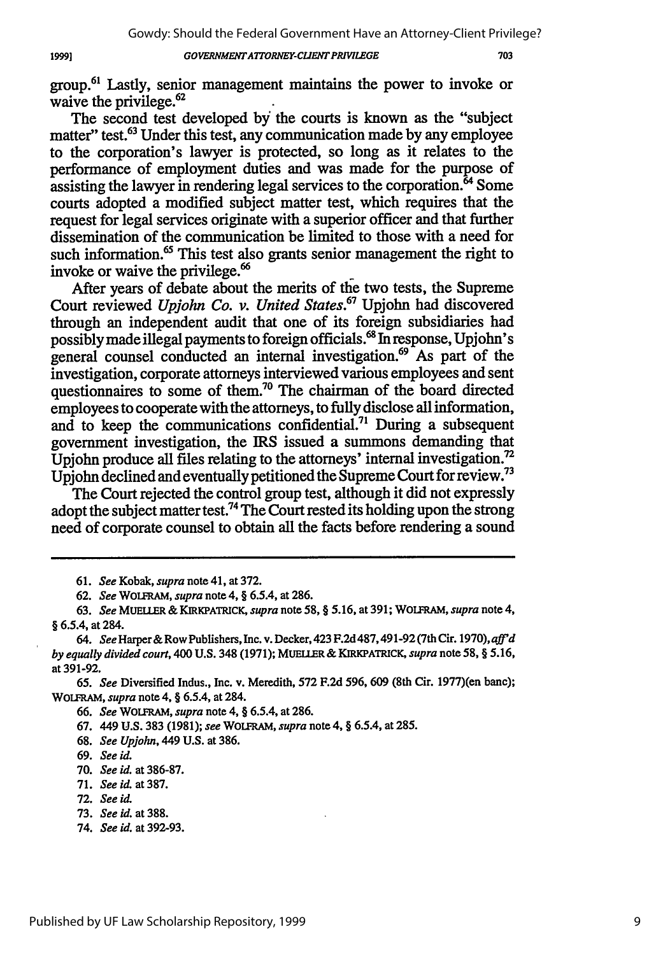703

group.<sup>61</sup> Lastly, senior management maintains the power to invoke or waive the privilege.<sup>62</sup>

The second test developed by the courts is known as the "subject matter" test.<sup>63</sup> Under this test, any communication made by any employee to the corporation's lawyer is protected, so long as it relates to the performance of employment duties and was made for the purpose of assisting the lawyer in rendering legal services to the corporation. $64$  Some courts adopted a modified subject matter test, which requires that the request for legal services originate with a superior officer and that further dissemination of the communication be limited to those with a need for such information.<sup>65</sup> This test also grants senior management the right to invoke or waive the privilege.'

After years of debate about the merits of the two tests, the Supreme Court reviewed *Upjohn Co. v. United States.67* Upjohn had discovered through an independent audit that one of its foreign subsidiaries had possibly made illegal payments to foreign officials.<sup>68</sup> In response, Upjohn's general counsel conducted an internal investigation.<sup>69</sup> As part of the investigation, corporate attorneys interviewed various employees and sent questionnaires to some of them.<sup>70</sup> The chairman of the board directed employees to cooperate with the attorneys, to fully disclose all information, and to keep the communications confidential.7! During a subsequent government investigation, the IRS issued a summons demanding that Upjohn produce all files relating to the attorneys' internal investigation.<sup>72</sup> Upjohn declined and eventually petitioned the Supreme Court for review.73

The Court rejected the control group test, although it did not expressly adopt the subject matter test.<sup>74</sup> The Court rested its holding upon the strong need of corporate counsel to obtain all the facts before rendering a sound

19991

<sup>61.</sup> *See* Kobak, *supra* note 41, at 372.

**<sup>62.</sup>** *See* WOLFRAM, *supra* note 4, § 6.5.4, at 286.

<sup>63.</sup> *See* MUELLER & KIRKPATRICK, *supra* note 58, § 5.16, at 391; WOLFRAM, *supra* note 4, § 6.5.4, at 284.

*<sup>64.</sup> See* Harper& Row Publishers, Inc. v. Decker, 423 F.2d 487,491-92 (7th Cir. 1970), *affid by equally divided court,* 400 **U.S.** 348 **(1971); MUELLER** & **KIRKPATRICK,** *supra* note **58,** § **5.16,** at 391-92.

*<sup>65.</sup> See* Diversified Indus., Inc. v. Meredith, **572** F.2d 596, 609 (8th Cir. 1977)(en bane); WOLFRAM, *supra* note 4, § 6.5.4, at 284.

<sup>66.</sup> *See* WOLFRAM, *supra* note 4, § 6.5.4, at 286.

<sup>67. 449</sup> **U.S.** 383 (1981); *see* WOLFRAM, *supra* note 4, § 6.5.4, at 285.

<sup>68.</sup> *See Upjohn,* 449 **U.S.** at 386.

<sup>69.</sup> *See id.*

<sup>70.</sup> *See id.* at 386-87.

<sup>71.</sup> *See id.* at 387.

**<sup>72.</sup>** *See id.*

<sup>73.</sup> *See id.* at 388.

<sup>74.</sup> *See id.* at 392-93.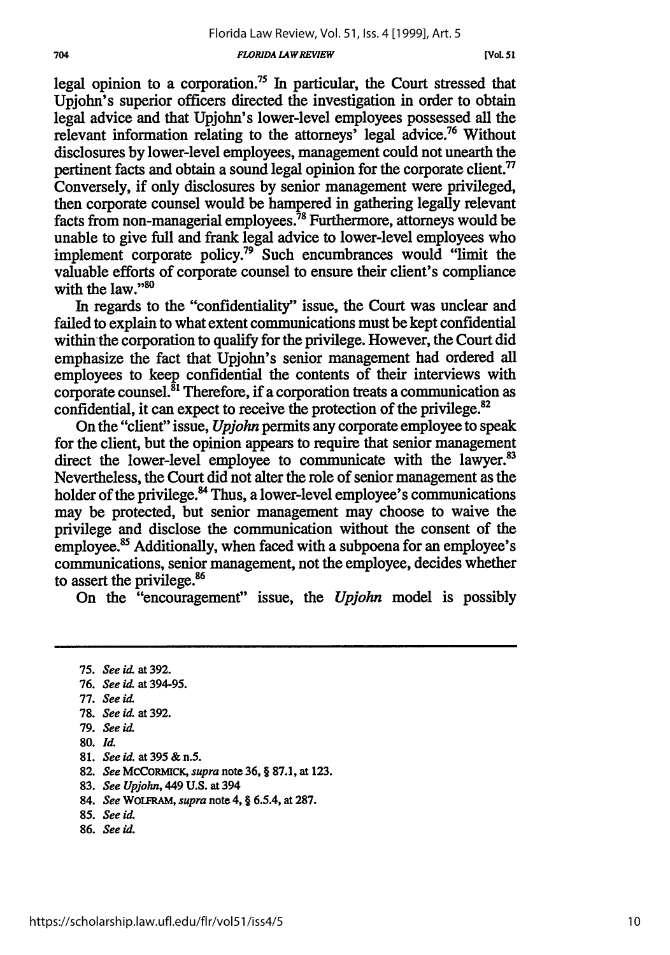#### *FLORIDA LAWREVIEW*

legal opinion to a corporation.<sup>75</sup> In particular, the Court stressed that Upjohn's superior officers directed the investigation in order to obtain legal advice and that Upjohn's lower-level employees possessed all the relevant information relating to the attorneys' legal advice.76 Without disclosures by lower-level employees, management could not unearth the pertinent facts and obtain a sound legal opinion for the corporate client.<sup>77</sup> Conversely, if only disclosures by senior management were privileged, then corporate counsel would be hampered in gathering legally relevant facts from non-managerial employees.<sup>78</sup> Furthermore, attorneys would be unable to give full and frank legal advice to lower-level employees who implement corporate policy.<sup>79</sup> Such encumbrances would "limit the valuable efforts of corporate counsel to ensure their client's compliance with the law."<sup>80</sup>

In regards to the "confidentiality" issue, the Court was unclear and failed to explain to what extent communications must be kept confidential within'the corporation to qualify for the privilege. However, the Court did emphasize the fact that Upjohn's senior management had ordered all employees to keep confidential the contents of their interviews with corporate counsel.<sup>81</sup> Therefore, if a corporation treats a communication as confidential, it can expect to receive the protection of the privilege.<sup>82</sup>

On the "client" issue, *Upjohn* permits any corporate employee to speak for the client, but the opinion appears to require that senior management direct the lower-level employee to communicate with the lawyer.<sup>83</sup> Nevertheless, the Court did not alter the role of senior management as the holder of the privilege.<sup>84</sup> Thus, a lower-level employee's communications may be protected, but senior management may choose to waive the privilege and disclose the communication without the consent of the employee.<sup>85</sup> Additionally, when faced with a subpoena for an employee's communications, senior management, not the employee, decides whether to assert the privilege.<sup>86</sup>

On the "encouragement" issue, the *Upjohn* model is possibly

77. *See* id

- **81.** *See id.* at395&n.5.
- **82.** *See* MCCORMICK, *supra* note **36,** § **87.1,** at **123.**
- **83.** *See Upjohn,* 449 **U.S.** at 394
- 84. *See* WOLFRAM, *supra* note 4, § 6.5.4, at **287.**
- 85. *See id*
- **86.** *See id.*

<sup>75.</sup> *See* id at **392.**

<sup>76.</sup> *See* id. at **394-95.**

**<sup>78.</sup>** *See* id. at **392.**

**<sup>79.</sup>** *See id.*

**<sup>80.</sup>** *Id.*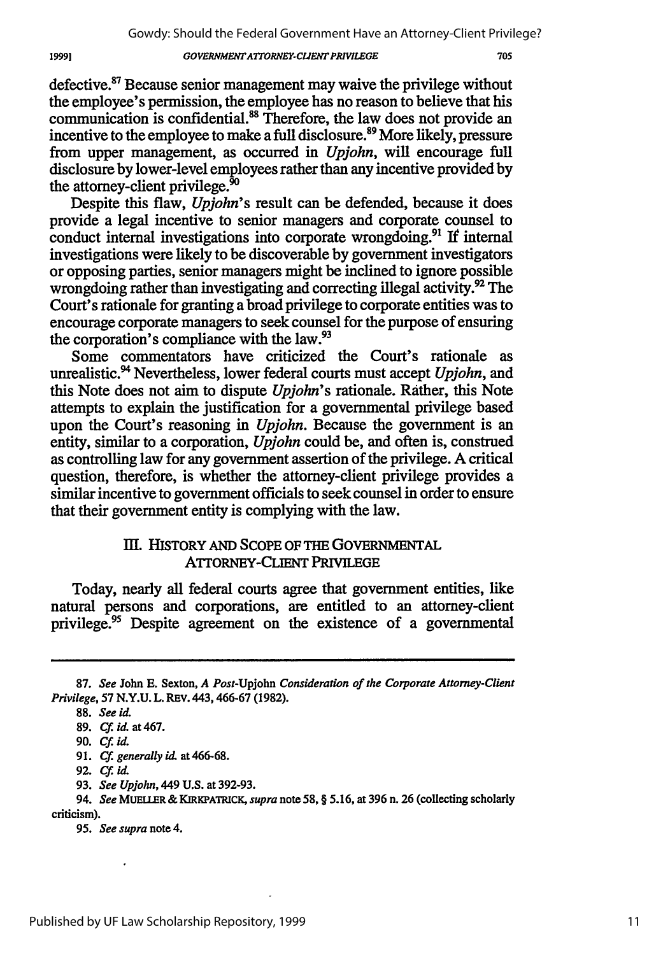defective.<sup>87</sup> Because senior management may waive the privilege without the employee's permission, the employee has no reason to believe that his communication is confidential.<sup>88</sup> Therefore, the law does not provide an incentive to the employee to make a full disclosure.<sup>89</sup> More likely, pressure from upper management, as occurred in *Upjohn,* will encourage full disclosure by lower-level employees rather than any incentive provided by the attorney-client privilege.<sup>50</sup>

Despite this flaw, *Upjohn's* result can be defended, because it does provide a legal incentive to senior managers and corporate counsel to conduct internal investigations into corporate wrongdoing.<sup>91</sup> If internal investigations were likely to be discoverable by government investigators or opposing parties, senior managers might be inclined to ignore possible wrongdoing rather than investigating and correcting illegal activity.<sup>92</sup> The Court's rationale for granting a broad privilege to corporate entities was to encourage corporate managers to seek counsel for the purpose of ensuring the corporation's compliance with the law.<sup>93</sup>

Some commentators have criticized the Court's rationale as unrealistic. 4 Nevertheless, lower federal courts must accept *Upjohn,* and this Note does not aim to dispute *Upjohn's* rationale. Rather, this Note attempts to explain the justification for a governmental privilege based upon the Court's reasoning in *Upjohn.* Because the government is an entity, similar to a corporation, *Upjohn* could be, and often is, construed as controlling law for any government assertion of the privilege. A critical question, therefore, is whether the attorney-client privilege provides a similar incentive to government officials to seek counsel in order to ensure that their government entity is complying with the law.

## IlI. HISTORY AND SCOPE OF THE GOVERNMENTAL ATrORNEY-CLIENT PRIVILEGE

Today, nearly all federal courts agree that government entities, like natural persons and corporations, are entitled to an attorney-client privilege.<sup>95</sup> Despite agreement on the existence of a governmental

93. *See Upjolm,* 449 U.S. at 392-93.

<sup>87.</sup> *See* John E. Sexton, *A Post-Upjohn Consideration of the Corporate Attorney-Client Privilege,* 57 N.Y.U. L. REV. 443,466-67 (1982).

<sup>88.</sup> *See id.*

**<sup>89.</sup>** *Cf. id.* at 467.

**<sup>90.</sup>** *Cf. id.*

<sup>91.</sup> *Cf generally id.* at 466-68.

<sup>92.</sup> *Cf. id.*

<sup>94.</sup> *See* **MUEUER** & KIRKPATRICK, *supra* note *58,* § 5.16, at 396 n. 26 (collecting scholarly criticism).

*<sup>95.</sup> See supra* note 4.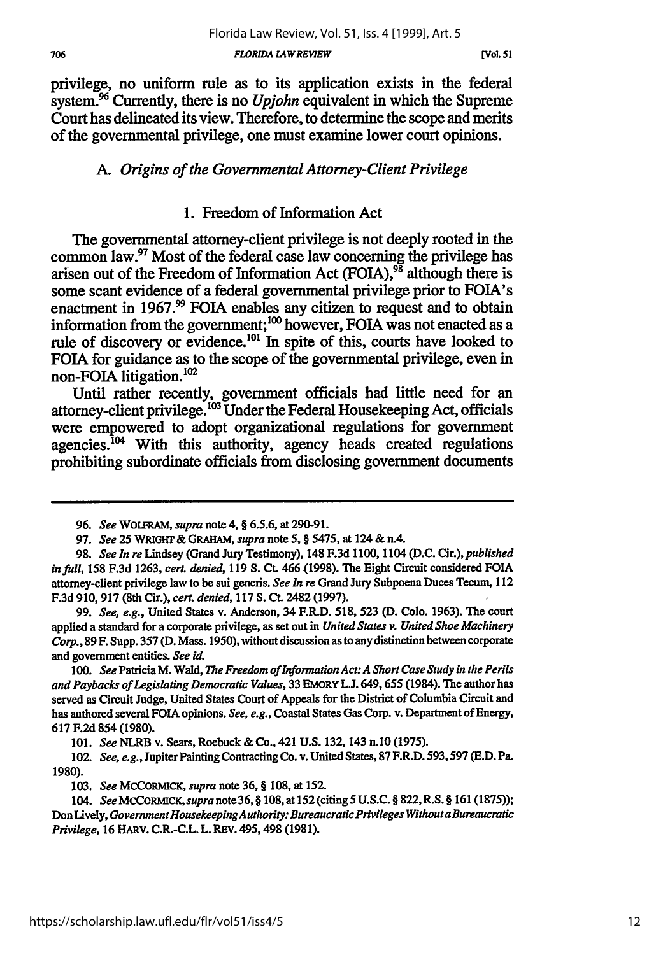*FLORIDA LAWREVIEW*

privilege, no uniform rule as to its application exists in the federal system.<sup>96</sup> Currently, there is no *Upjohn* equivalent in which the Supreme Court has delineated its view. Therefore, to determine the scope and merits of the governmental privilege, one must examine lower court opinions.

# *A. Origins of the Governmental Attorney-Client Privilege*

# **1.** Freedom of Information Act

The governmental attorney-client privilege is not deeply rooted in the common law.<sup>97</sup> Most of the federal case law concerning the privilege has arisen out of the Freedom of Information Act **(FOIA),9 s** although there is some scant evidence of a federal governmental privilege prior to FOIA's enactment in 1967.<sup>99</sup> FOIA enables any citizen to request and to obtain information from the government;<sup>100</sup> however, FOIA was not enacted as a rule of discovery or evidence.<sup>101</sup> In spite of this, courts have looked to FOIA for guidance as to the scope of the governmental privilege, even in non-FOIA litigation.<sup>102</sup>

Until rather recently, government officials had little need for an attorney-client privilege.<sup>103</sup> Under the Federal Housekeeping Act, officials were empowered to adopt organizational regulations for government  $a$ gencies.<sup>104</sup> With this authority, agency heads created regulations prohibiting subordinate officials from disclosing government documents

99. *See, e.g.,* United States v. Anderson, 34 F.R.D. 518, **523 (D.** Colo. 1963). The court applied a standard for a corporate privilege, as set out in *United States v. United Shoe Machinery Corp.,* 89 F. Supp. **357** (D. Mass. 1950), without discussion as to any distinction between corporate and government entities. *See id*

*100. See* Patricia M. Wald, *The Freedom of Information Act: A Short Case Study in the Perils and Paybacks of Legislating Democratic Values,* 33 **EMORY L.J.** 649,655 (1984). The author has served as Circuit Judge, United States Court of Appeals for the District of Columbia Circuit and has authored several **FOIA** opinions. *See, e.g.,* Coastal States **Gas** Corp. v. Department of Energy, 617 F.2d 854 (1980).

101. *See* NLRB v. Sears, Roebuck & Co., 421 **U.S.** 132, 143 n.10 (1975).

102. *See, e.g.,* Jupiter Painting Contracting Co. v. United States, 87 F.R.D. 593,597 **(E.D.** Pa. **1980).**

*<sup>96.</sup> See* WOLFRAM, *supra* note 4, § 6.5.6, at 290-91.

<sup>97.</sup> *See* **25 WRIGHT** & **GRAHAM,** *supra* note **5,** § 5475, at 124 & n.4.

<sup>98.</sup> *See In re* Lindsey (Grand Jury Testimony), 148 F.3d 1100, 1104 (D.C. Cir.), *published infull,* 158 F.3d 1263, *cert. denied,* 119 **S.** Ct. 466.(1998). The Eight Circuit considered FOIA attorney-client privilege law to be sui generis. *See In re* Grand Jury Subpoena Duces Tecum, 112 F.3d 910,917 (8th Cir.), *cert. denied,* 117 **S. Ct.** 2482 (1997).

**<sup>103.</sup>** *See* **MCCORMICK,** *supra* note **36,** § **108,** at **152.**

*<sup>104.</sup> See MCCORMICK, supra* note 36, § 108, at 152 (citing 5 **U.S.C.** § **822,** R.S. § 161 (1875)); Don lively, *GovernmentHousekeepingAuthority: Bureaucratic Privileges Withouta Bureaucratic Privilege,* 16 **HARV.** C.R.-C.L. L. REV. 495,498 (1981).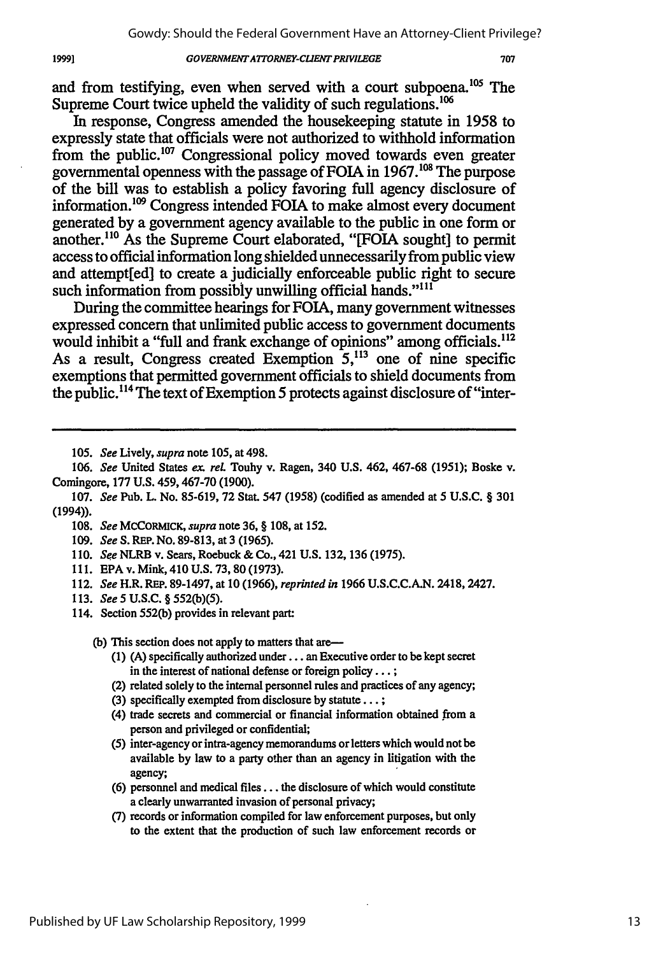and from testifying, even when served with a court subpoena.<sup>105</sup> The Supreme Court twice upheld the validity of such regulations.<sup>106</sup>

In response, Congress amended the housekeeping statute in **1958** to expressly state that officials were not authorized to withhold information from the public.<sup>107</sup> Congressional policy moved towards even greater governmental openness with the passage of FOIA in **1967.0"** The purpose of the bill was to establish a policy favoring full agency disclosure of information.<sup>109</sup> Congress intended FOIA to make almost every document generated **by** a government agency available to the public in one form or another.<sup>110</sup> As the Supreme Court elaborated, "[FOIA sought] to permit access to official information long shielded unnecessarily from public view and attempt[ed] to create a judicially enforceable public right to secure such information from possibly unwilling official hands."<sup>111</sup>

During the committee hearings for FOIA, many government witnesses expressed concern that unlimited public access to government documents would inhibit a "full and frank exchange of opinions" among officials.<sup>112</sup> As a result, Congress created Exemption  $5^{113}$  one of nine specific exemptions that permitted government officials to shield documents from the public." 4 The text of Exemption **5** protects against disclosure of "inter-

**105.** *See* Lively, *supra* note 105, at 498.

*106. See* United States *ex. reL* Touhy v. Ragen, 340 U.S. 462, 467-68 (1951); Boske v. Comingore, 177 U.S. 459,467-70 (1900).

- 108. *See* MCCORMICK, *supra* note 36, § 108, at 152.
- 109. *See* **S.** REP. No. 89-813, at 3 (1965).
- 110. *See* NLRB v. Sears, Roebuck & Co., 421 **U.S.** 132, 136 (1975).
- 111. EPA v. Mink, 410 U.S. 73,80 (1973).
- 112. *See* H.R. REP. 89-1497, at 10 (1966), *reprinted in* 1966 U.S.C.C.A.N. 2418,2427.
- 113. *See 5* **U.S.C.** § 552(b)(5).
- 114. Section 552(b) provides in relevant **part:**

**(b)** This section does not apply to matters that are-

- **(1) (A)** specifically authorized under... an Executive order to be kept secret in the interest of national defense or foreign policy... **;**
- (2) related solely to the internal personnel rules and practices of any agency;
- **(3)** specifically exempted from disclosure **by** statute... **;**
- (4) trade secrets and commercial or financial information obtained from a person and privileged or confidential;
- (5) inter-agency or intra-agency memorandums or letters which would not be available **by** law to a party other than an agency in litigation with the agency;
- (6) personnel and medical files **...** the disclosure of which would constitute a clearly unwarranted invasion of personal privacy;
- (7) records or information compiled for law enforcement purposes, but only to the extent that the production of such law enforcement records or

19991

<sup>107.</sup> *See* Pub. L. No. 85-619, 72 Stat. 547 (1958) (codified as amended at 5 **U.S.C.** § 301 (1994)).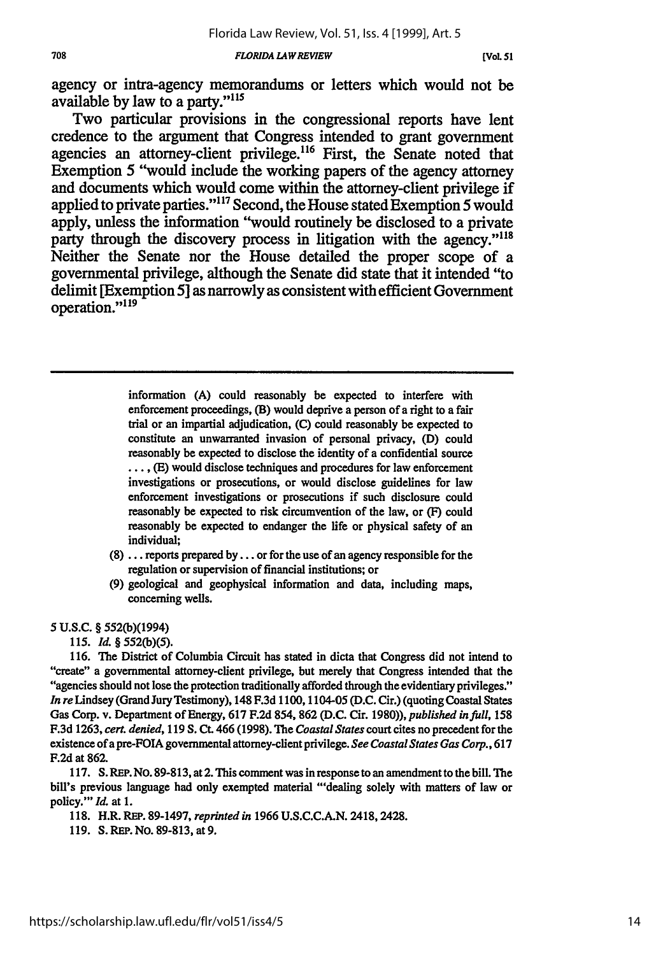*FLORIDA LAW REVIEW*

agency or intra-agency memorandums or letters which would not be available by law to a party."<sup>115</sup>

Two particular provisions in the congressional reports have lent credence to the argument that Congress intended to grant government agencies an attorney-client privilege.<sup>116</sup> First, the Senate noted that Exemption **5** "would include the working papers of the agency attorney and documents which would come within the attorney-client privilege if applied to private parties." 17 Second, the House stated Exemption **5** would apply, unless the information "would routinely be disclosed to a private party through the discovery process in litigation with the agency."<sup>118</sup> Neither the Senate nor the House detailed the proper scope of a governmental privilege, although the Senate did state that it intended "to delimit [Exemption **5]** as narrowly as consistent with efficient Government operation."<sup>119</sup>

> information **(A)** could reasonably be expected to interfere with enforcement proceedings, (B) would deprive a person of a right to a fair trial or an impartial adjudication, **(C)** could reasonably be expected to constitute an unwarranted invasion of personal privacy, **(D)** could reasonably be expected to disclose the identity of a confidential source .... **(E)** would disclose techniques and procedures for law enforcement investigations or prosecutions, or would disclose guidelines for law enforcement investigations or prosecutions if such disclosure could reasonably be expected to risk circumvention of the law, or (F) could reasonably be expected to endanger the life or physical safety of an individual;

- **(8) ...** reports prepared **by...** or for the use of an agency responsible for the regulation or supervision of financial institutions; or
- **(9)** geological and geophysical information and data, including maps, concerning wells.

#### **5 U.S.C.** § 552(b)(1994)

*115. Id. §* 552(b)(5).

116. The District of Columbia Circuit has stated in dicta that Congress did not intend to "create" a governmental attorney-client privilege, but merely that Congress intended that the "agencies should not lose the protection traditionally afforded through the evidentiary privileges." *In re* Lindsey (Grand Jury Testimony), 148 F.3d 1100,1104-05 **(D.C.** Cir.) (quoting Coastal States Gas Corp. v. Department of Energy, 617 F.2d 854, **862** (D.C. Cir. 1980)), *published infull,* 158 F.3d 1263, *cert. denied,* 119 **S. Ct.** 466 (1998). The *Coastal States* court cites no precedent for the existence ofapre-FOIA governmental attorney-cient privilege. *See Coastal States Gas Corp.,* 617 F.2d at **862.**

117. **S.** REP. No. 89-813, at 2. This comment was in response to an amendment to the bill. The bill's previous language had only exempted material "'dealing solely with matters of law or policy."' *Id.* at **1.**

- 118. H.R. **REP.** 89-1497, *reprinted in* 1966 U.S.C.C.A.N. 2418,2428.
- 119. **S.** REP. **No.** 89-813, at 9.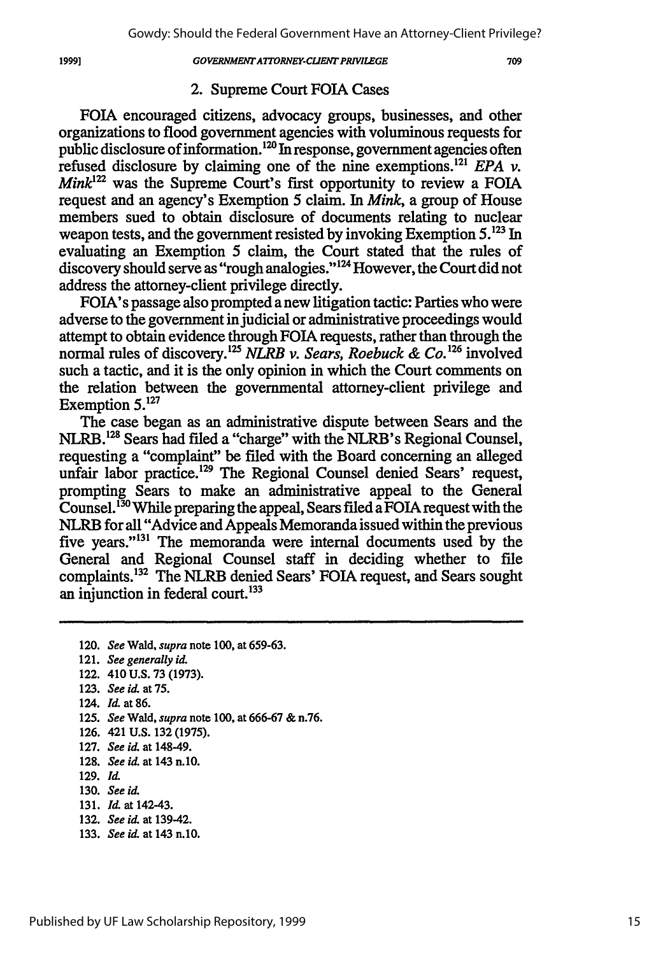709

### 2. Supreme Court FOIA Cases

FOIA encouraged citizens, advocacy groups, businesses, and other organizations to flood government agencies with voluminous requests for public disclosure of information.12° In response, government agencies often refused disclosure by claiming one of the nine exemptions.<sup>121</sup> *EPA v. Mink*<sup>122</sup> was the Supreme Court's first opportunity to review a FOIA request and an agency's Exemption 5 claim. In *Mink,* a group of House members sued to obtain disclosure of documents relating to nuclear weapon tests, and the government resisted by invoking Exemption **5.123** In evaluating an Exemption 5 claim, the Court stated that the rules of discovery should serve as "rough analogies."<sup>124</sup> However, the Court did not address the attorney-client privilege directly.

FOIA's passage also prompted a new litigation tactic: Parties who were adverse to the government in judicial or administrative proceedings would attempt to obtain evidence through FOIA requests, rather than through the normal rules of discovery.<sup>125</sup> NLRB v. Sears, Roebuck & Co.<sup>126</sup> involved such a tactic, and it is the only opinion in which the Court comments on the relation between the governmental attorney-client privilege and Exemption **5.127**

The case began as an administrative dispute between Sears and the NLRB.<sup>128</sup> Sears had filed a "charge" with the NLRB's Regional Counsel, requesting a "complaint" be filed with the Board concerning an alleged unfair labor practice.<sup>129</sup> The Regional Counsel denied Sears' request, prompting Sears to make an administrative appeal to the General Counsel.<sup>130</sup> While preparing the appeal, Sears filed a FOIA request with the NLRB for all "Advice and Appeals Memoranda issued within the previous five years."13' The memoranda were internal documents used by the General and Regional Counsel staff in deciding whether to file complaints.<sup>132</sup> The NLRB denied Sears' FOIA request, and Sears sought an injunction in federal court.<sup>133</sup>

120. *See* Wald, *supra* note 100, at 659-63.

- **123.** *See id.* at **75.**
- 124. *Id* at **86.**
- 125. *See* Wald, *supra* note 100, at 666-67 & n.76.
- 126. 421 **U.S. 132** (1975).
- 127. *See id.* at 148-49.
- 128. *See id.* at 143 n.10.
- 129. *Id.*
- **130.** *See id*
- 131. *Id.* at 142-43.
- **132.** *See id* at 139-42.
- 133. *See id* at 143 n.10.

19991

<sup>121.</sup> *See generally id.*

<sup>122. 410</sup> **U.S.** 73 (1973).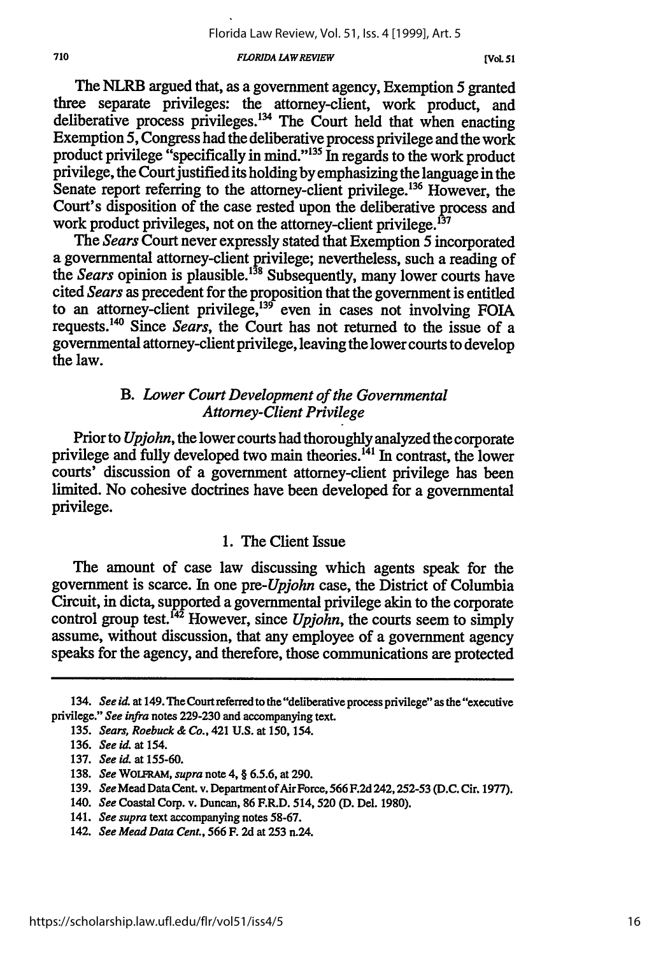#### *FLORIDA LAWREVIEW*

The NLRB argued that, as a government agency, Exemption 5 granted three separate privileges: the attorney-client, work product, and deliberative process privileges.<sup>134</sup> The Court held that when enacting Exemption **5,** Congress had the deliberative process privilege and the work product privilege "specifically in mind."135 In regards to the work product privilege, the Court justified its holding by emphasizing the language in the Senate report referring to the attorney-client privilege.<sup>136</sup> However, the Court's disposition of the case rested upon the deliberative process and work product privileges, not on the attorney-client privilege.<sup>137</sup>

*The Sears* Court never expressly stated that Exemption 5 incorporated a governmental attorney-client privilege; nevertheless, such a reading of the *Sears* opinion is plausible.<sup>138</sup> Subsequently, many lower courts have cited *Sears* as precedent for the proposition that the government is entitled to an attorney-client privilege,<sup>139</sup> even in cases not involving FOIA requests.<sup>140</sup> Since *Sears*, the Court has not returned to the issue of a governmental attorney-client privilege, leaving the lower courts to develop the law.

### *B. Lower Court Development of the Governmental Attorney-Client Privilege*

Prior to *Upjohn,* the lower courts had thoroughly analyzed the corporate privilege and fully developed two main theories.<sup>141</sup> In contrast, the lower courts' discussion of a government attorney-client privilege has been limited. No cohesive doctrines have been developed for a governmental privilege.

## 1. The Client Issue

The amount of case law discussing which agents speak for the government is scarce. In one *pre-Upjohn* case, the District of Columbia Circuit, in dicta, supported a governmental privilege akin to the corporate control group test.<sup>142</sup> However, since *Upjohn*, the courts seem to simply assume, without discussion, that any employee of a government agency speaks for the agency, and therefore, those communications are protected

*<sup>134.</sup> See* **id** at 149. **The** Court referred to the "deliberative process privilege" as the "executive privilege." *See infra* notes 229-230 and accompanying text.

<sup>135.</sup> *Sears, Roebuck & Co.,* 421 **U.S.** at 150, 154.

<sup>136.</sup> *See id.* at 154.

<sup>137.</sup> *See id.* at **155-60.**

<sup>138.</sup> *See* **WOLFRAM,** *supra* note 4, **§ 6.5.6,** at 290.

<sup>139.</sup> *See* Mead Data Cent. v. Department of Air Force, **566** F.2d **242, 252-53** (D.C. Cir. 1977).

<sup>140.</sup> *See* Coastal Corp. v. Duncan, 86 F.R.D. 514,520 **(D.** Del. 1980).

<sup>141.</sup> *See supra* text accompanying notes **58-67.**

<sup>142.</sup> *See Mead Data Cent.,* **566** F. **2d** at **253** n.24.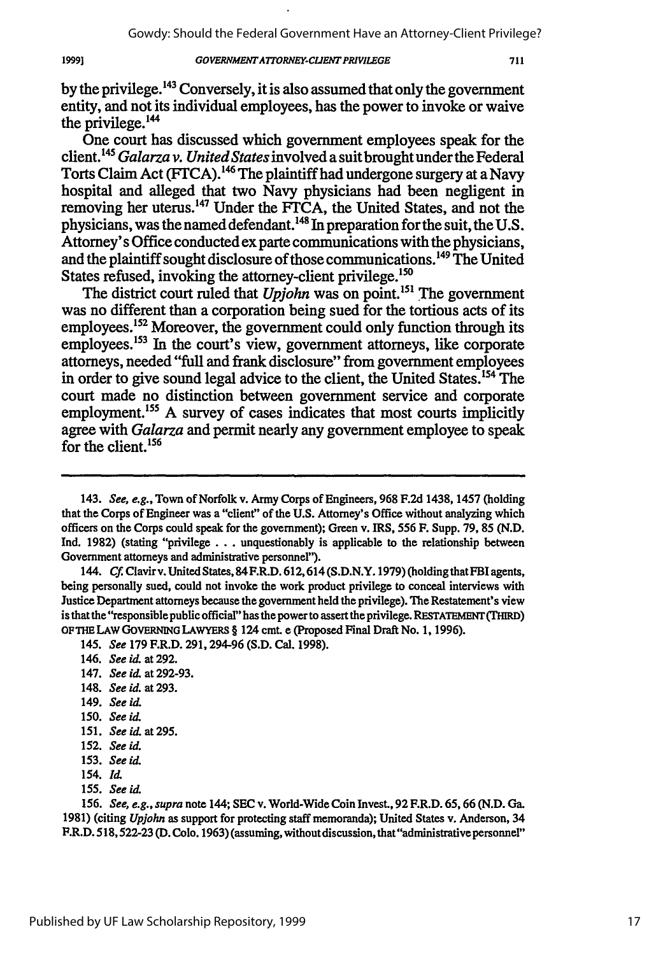by the privilege.<sup>143</sup> Conversely, it is also assumed that only the government entity, and not its individual employees, has the power to invoke or waive the privilege.144

One court has discussed which government employees speak for the client. **145** *Galarza v. United States* involved a suitbrought under the Federal Torts Claim Act (FTCA).<sup>146</sup> The plaintiff had undergone surgery at a Navy hospital and alleged that two Navy physicians had been negligent in removing her uterus.<sup>147</sup> Under the FTCA, the United States, and not the physicians, was the named defendant.<sup>148</sup> In preparation for the suit, the U.S. Attorney's Office conducted ex parte communications with the physicians, and the plaintiff sought disclosure of those communications.<sup>149</sup> The United States refused, invoking the attorney-client privilege.<sup>150</sup>

The district court ruled that *Upjohn* was on point.<sup>151</sup> The government was no different than a corporation being sued for the tortious acts of its employees.<sup>152</sup> Moreover, the government could only function through its employees.<sup>153</sup> In the court's view, government attorneys, like corporate attorneys, needed "full and frank disclosure" from government employees in order to give sound legal advice to the client, the United States.<sup>154</sup> The court made no distinction between government service and corporate employment.<sup>155</sup> A survey of cases indicates that most courts implicitly agree with *Galarza* and permit nearly any government employee to speak for the client.<sup>156</sup>

144. *Cf.* Clavir v. United States, 84F.R.D. 612,614(S.D.N.Y. 1979) (holdingthatFBI agents, being personally sued, could not invoke the work product privilege to conceal interviews with Justice Department attorneys because the government held the privilege). The Restatement's view is that the"responsible public official" has the power to assert the privilege. **RETATEmENT (THIRD) OFTHE** LAW **GOVERNING** LAWYERS § 124 cmt e (Proposed Final Draft No. 1, 1996).

- 147. *See id.* at **292-93.**
- 148. *Seeid.* at293.
- 149. *See id*

19991

- **150.** *See id*
- 151. *Seeid at295.*
- **152.** *See id.*
- 153. *See id*
- 154. Id
- 155. *See id.*

<sup>143.</sup> *See, e.g.,* Town of Norfolk v. Army Corps of Engineers, **968 F.2d** 1438, 1457 (holding that the Corps of Engineer was a "client" of the **U.S.** Attorney's Office without analyzing which officers on the Corps could speak for the government); Green v. IRS, **556** F. Supp. **79, 85 (N.D.** Ind. **1982)** (stating "privilege... unquestionably is applicable to the relationship between Government attorneys and administrative personnel").

<sup>145.</sup> *See* **179** F.R.D. 291,294-96 **(S.D.** Cal. **1998).**

<sup>146.</sup> *See id* at **292.**

<sup>156.</sup> *See, e.g., supra* note 144; **SEC** v. World-Wide Coin Invest., **92** F.R.D. **65,** 66 **(N.D.** Ga. **1981)** (citing *Upjohn* as support for protecting staff memoranda); United States v. Anderson, 34 F.R.D. **518,522-23** (D. Colo. 1963) (assuming, withoutdiscussion,that"administrativepersonnel"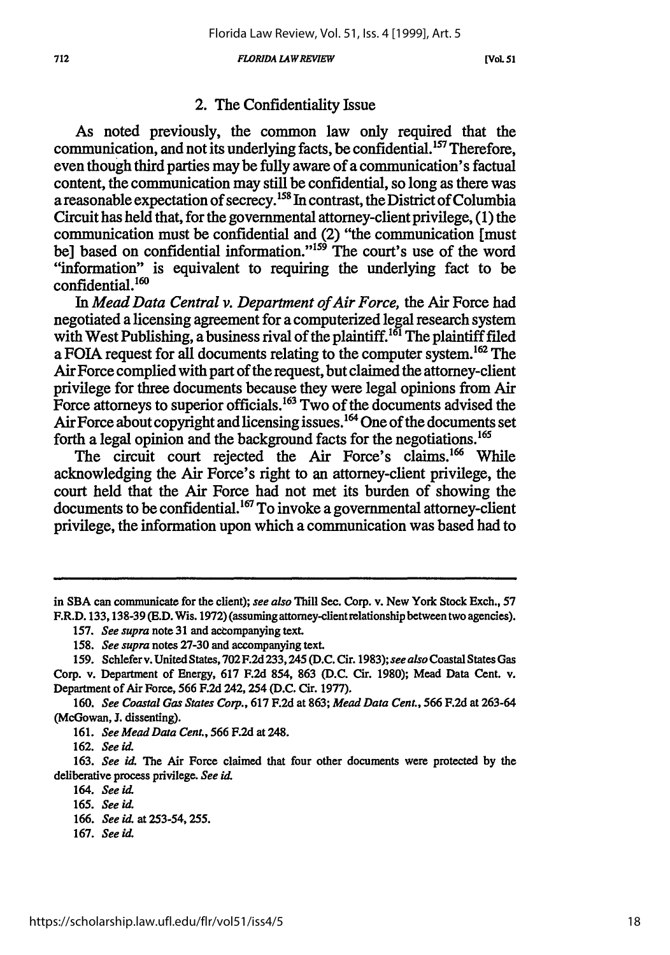#### *FLORIDA LA WREVIEW*

**[VOL 51**

### 2. The Confidentiality Issue

As noted previously, the common law only required that the communication, and not its underlying facts, be confidential.<sup>157</sup> Therefore, even though third parties may be fully aware of a communication's factual content, the communication may still be confidential, so long as there was a reasonable expectation of secrecy.<sup>158</sup> In contrast, the District of Columbia Circuit has held that, for the governmental attorney-client privilege, (1) the communication must be confidential and (2) "the communication [must bel based on confidential information." $159$  The court's use of the word "information" is equivalent to requiring the underlying fact to be confidential.<sup>160</sup>

*In Mead Data Central v. Department of Air Force,* the Air Force had negotiated a licensing agreement for a computerized legal research system with West Publishing, a business rival of the plaintiff.<sup>161</sup> The plaintiff filed a FOIA request for all documents relating to the computer system.<sup>162</sup> The Air Force complied with part of the request, but claimed the attorney-client privilege for three documents because they were legal opinions from Air Force attorneys to superior officials.<sup>163</sup> Two of the documents advised the Air Force about copyright and licensing issues.<sup>164</sup> One of the documents set forth a legal opinion and the background facts for the negotiations.<sup>165</sup>

The circuit court rejected the Air Force's claims.<sup>166</sup> While acknowledging the Air Force's right to an attorney-client privilege, the court held that the Air Force had not met its burden of showing the documents to be confidential.<sup>167</sup> To invoke a governmental attorney-client privilege, the information upon which a communication was based had to

162. *See id.*

163. *See id.* The Air Force claimed that four other documents were protected **by** the deliberative process privilege. *See id.*

*164. See id.*

- 166. *See id.* at 253-54, **255.**
- **167.** Seeid.

in **SBA** can communicate for the client); see also Thill Sec. Corp. v. New York Stock Exch., 57 F.R.D. 133, 138-39 (E.D. Wis. 1972) (assuming attorney-client relationship between two agencies).

<sup>157.</sup> *See supra* note 31 and accompanying text.

*<sup>158.</sup> See supra* notes 27-30 and accompanying text.

<sup>159.</sup> Schlefer v. United States, 702 F.2d 233,245 (D.C. Cir. 1983); *see also* Coastal States Gas Corp. v. Department of Energy, 617 F.2d 854, 863 (D.C. Cir. 1980); Mead Data Cent. v. Department of Air Force, 566 F.2d 242, 254 (D.C. Cir. 1977).

*<sup>160.</sup> See Coastal Gas States Corp.,* 617 F.2d at 863; *Mead Data Cent.,* 566 F.2d at 263-64 (McGowan, **J.** dissenting).

<sup>161.</sup> *See Mead Data Cent.,* 566 F.2d at 248.

<sup>165.</sup> *See id.*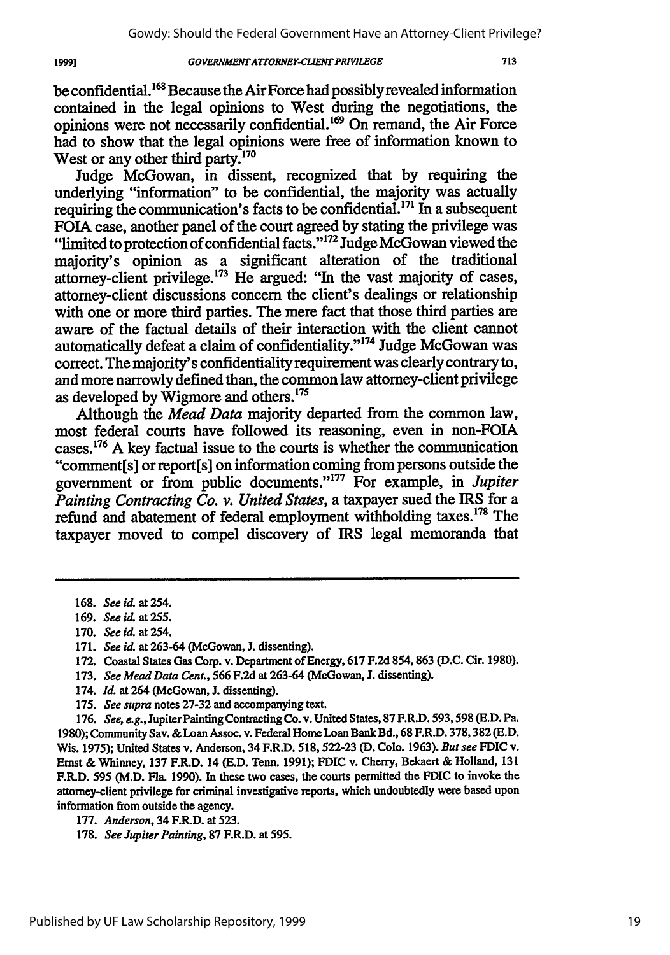be confidential.<sup>168</sup> Because the Air Force had possibly revealed information contained in the legal opinions to West during the negotiations, the opinions were not necessarily confidential.169 On remand, the Air Force had to show that the legal opinions were free of information known to West or any other third party.<sup>170</sup>

Judge McGowan, in dissent, recognized that **by** requiring the underlying "information" to be confidential, the majority was actually requiring the communication's facts to be confidential.<sup>171</sup> In a subsequent FOIA case, another panel of the court agreed **by** stating the privilege was "limited to protection of confidential facts."<sup>172</sup> Judge McGowan viewed the majority's opinion as a significant alteration of the traditional attorney-client privilege. $173$  He argued: "In the vast majority of cases, attorney-client discussions concern the client's dealings or relationship with one or more third parties. The mere fact that those third parties are aware of the factual details of their interaction with the client cannot automatically defeat a claim of confidentiality."<sup>174</sup> Judge McGowan was correct. The majority's confidentiality requirement was clearly contrary to, and more narrowly defined than, the common law attorney-client privilege as developed by Wigmore and others.<sup>175</sup>

Although the *Mead Data* majority departed from the common law, most federal courts have followed its reasoning, even in non-FOIA cases. 176 A key factual issue to the courts is whether the communication "comment[s] or report[s] on information coming from persons outside the government or from public documents."'177 For example, in *Jupiter Painting Contracting Co. v. United States,* a taxpayer sued the IRS for a refund and abatement of federal employment withholding taxes.<sup>178</sup> The taxpayer moved to compel discovery of IRS legal memoranda that

- **172.** Coastal States Gas Corp. v. Department of Energy, **617 F.2d 854,863 (D.C.** Cir. **1980).**
- **173.** *See Mead Data Cent.,* 566 **F.2d** at 263-64 (McGowan, **J.** dissenting).
- 174. *Id.* at 264 (McGowan, J. dissenting).
- 175. *See supra* notes **27-32** and accompanying text.

176. *See, e.g.,* Jupiter Painting Contracting Co. v. United States, 87 F.R.D. 593,598 **(E.D.** Pa. **1980);** Community Say. & Loan Assoc. v. Federal Home Loan Bank Bd., 68 F.R.D. 378,382 (E.D. Wis. 1975); United States v. Anderson, 34 F.R.D. 518, **522-23 (D.** Colo. 1963). *But see* FDIC v. Ernst & Whinney, 137 F.R.D. 14 **(E.D.** Tenn. 1991); FDIC v. Cherry, Bekaert & Holland, **131** F.R.D. 595 (M.D. Fla. 1990). In these two cases, the courts permitted the FDIC to invoke the attorney-client privilege for criminal investigative reports, which undoubtedly were based upon information from outside the agency.

<sup>168.</sup> *See id.* at 254.

<sup>169.</sup> *See id.* at 255.

**<sup>170.</sup>** *See id.* at 254.

**<sup>171.</sup>** *See it.* at **263-64** (McGowan, **J.** dissenting).

<sup>177.</sup> *Anderson,* 34 F.R.D. at 523.

<sup>178.</sup> *See Jupiter Painting,* **87** F.R.D. at 595.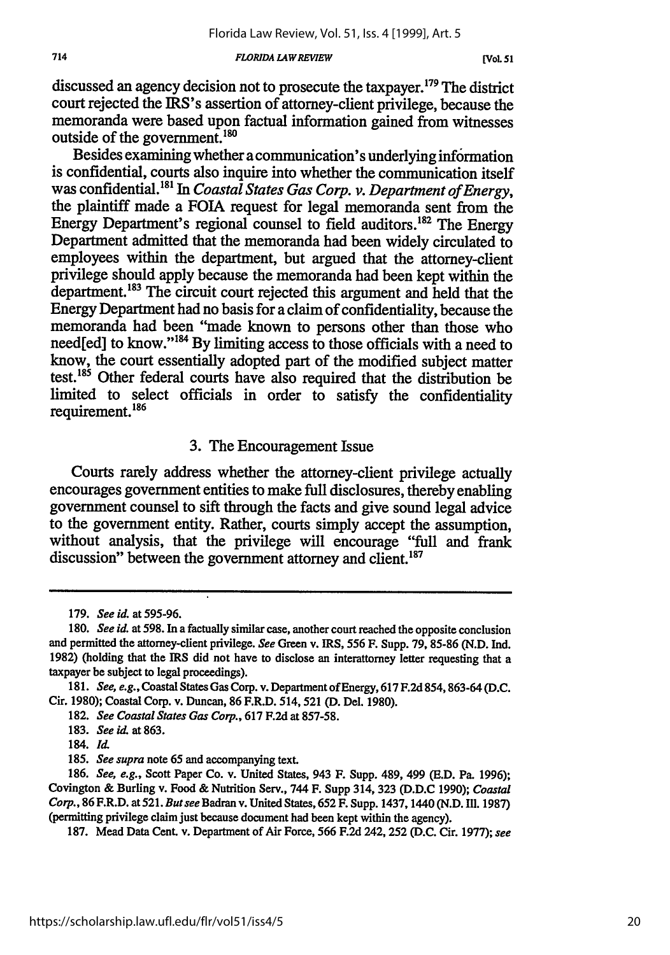*FLORIDA LA WREVIEW*

discussed an agency decision not to prosecute the taxpayer.<sup>179</sup> The district court rejected the IRS's assertion of attorney-client privilege, because the memoranda were based upon factual information gained from witnesses outside of the government.<sup>180</sup>

Besides examining whether a communication's underlying information is confidential, courts also inquire into whether the communication itself was confidential."8' In *Coastal States Gas Corp. v. Department of Energy,* the plaintiff made a FOIA request for legal memoranda sent from the Energy Department's regional counsel to field auditors.<sup>182</sup> The Energy Department admitted that the memoranda had been widely circulated to employees within the department, but argued that the attorney-client privilege should apply because the memoranda had been kept within the department.<sup>183</sup> The circuit court rejected this argument and held that the Energy Department had no basis for a claim of confidentiality, because the memoranda had been "made known to persons other than those who need[ed] to know."<sup>184</sup> By limiting access to those officials with a need to know, the court essentially adopted part of the modified subject matter test.185 Other federal courts have also required that the distribution be limited to select officials in order to satisfy the confidentiality requirement. <sup>186</sup>

### **3.** The Encouragement Issue

Courts rarely address whether the attorney-client privilege actually encourages government entities to make full disclosures, thereby enabling government counsel to sift through the facts and give sound legal advice to the government entity. Rather, courts simply accept the assumption, without analysis, that the privilege will encourage "full and frank discussion" between the government attorney and client.<sup>187</sup>

**187.** Mead Data Cent. v. Department of Air Force, **566 F.2d** 242, **252 (D.C.** Cir. **1977);** *see*

**<sup>179.</sup>** *See id.* **at 595-96.**

**<sup>180.</sup>** *See id.* at **598.** In a factually similar case, another court reached the opposite conclusion and permitted the attorney-client privilege. *See* Green v. IRS, **556** F. Supp. **79, 85-86 (N.D. Ind. 1982)** (holding that the IRS did not have to disclose an interattorney letter requesting that a taxpayer be subject to legal proceedings).

**<sup>181.</sup>** *See, e.g.,* Coastal States Gas Corp. v. Department of Energy, **617 F.2d 854, 863-64 (D.C.** Cir. **1980);** Coastal Corp. v. Duncan, **86** F.R.D. **514,521 (D.** Del. **1980).**

**<sup>182.</sup>** *See Coastal States Gas Corp.,* **617 F.2d** at **857-58.**

**<sup>183.</sup>** *See* **i.** at **863.**

<sup>184.</sup> **Id.**

*<sup>185.</sup> See supra* note **65** and accompanying text.

**<sup>186.</sup>** *See, e.g.,* Scott Paper Co. v. United States, 943 F. Supp. 489, 499 **(E.D.** Pa. **1996);** Covington **&** Burling v. Food & Nutrition Serv., 744 F. Supp 314, **323 (D.D.C 1990);** *Coastal Corp.,* **86** F.R.D. **at 521.** *Butsee* **Badran v.** United States, **652** F. Supp. 1437,1440 **(N.D. Ill. 1987)** (permitting privilege claim just because document had been kept within the agency).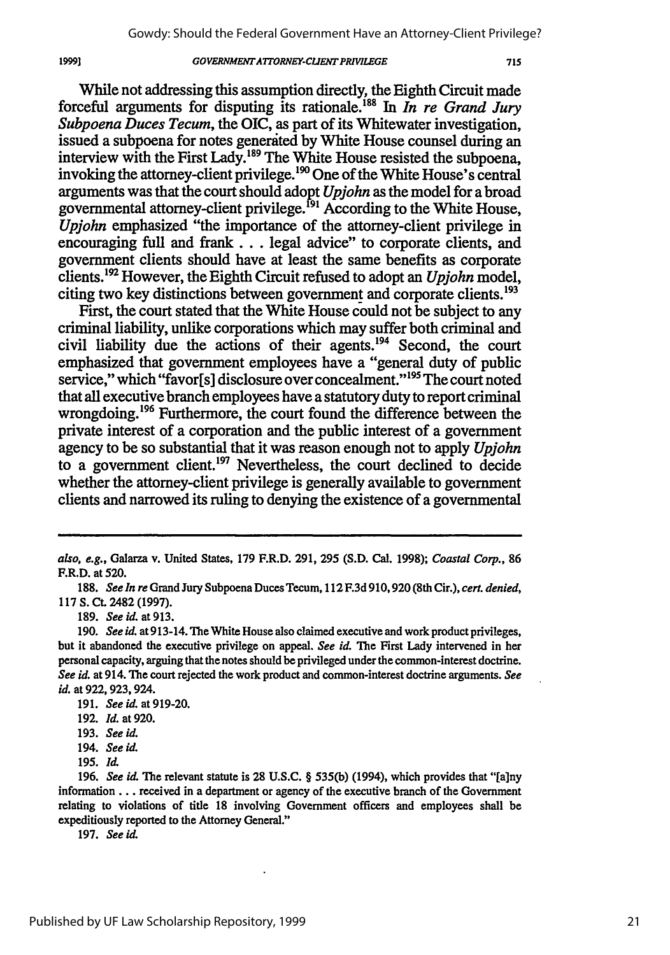While not addressing this assumption directly, the Eighth Circuit made forceful arguments for disputing its rationale.<sup>188</sup> In *In re Grand Jury Subpoena Duces Tecum,* the OIC, as part of its Whitewater investigation, issued a subpoena for notes generited by White House counsel during an interview with the First Lady.<sup>189</sup> The White House resisted the subpoena, invoking the attorney-client privilege.<sup>190</sup> One of the White House's central arguments was that the court should adopt *Upjohn* as the model for a broad governmental attorney-client privilege.<sup> $191$ </sup> According to the White House, *Upjohn* emphasized "the importance of the attorney-client privilege in encouraging full and frank... legal advice" to corporate clients, and government clients should have at least the same benefits as corporate clients."9 However, the Eighth Circuit refused to adopt an *Upjohn* model, citing two key distinctions between government and corporate clients.193

First, the court stated that the White House could not be subject to any criminal liability, unlike corporations which may suffer both criminal and civil liability due the actions of their agents.<sup>194</sup> Second, the court emphasized that government employees have a "general duty of public service," which "favor[s] disclosure over concealment."<sup>195</sup> The court noted that all executive branch employees have a statutory duty to report criminal wrongdoing.<sup>196</sup> Furthermore, the court found the difference between the private interest of a corporation and the public interest of a government agency to be so substantial that it was reason enough not to apply *Upjohn* to a government client.<sup>197</sup> Nevertheless, the court declined to decide whether the attorney-client privilege is generally available to government clients and narrowed its ruling to denying the existence of a governmental

189. *See id.* at 913.

19991

197. *See* id.

*also, e.g.,* Galarza v. United States, 179 F.R.D. 291, 295 (S.D. Cal. 1998); *Coastal Corp.,* 86 F.R.D. at 520.

<sup>188.</sup> *See In re* Grand Jury Subpoena Duces Tecum, 112 F.3d 910, 920 (8th Cir.), *cert. denied,* 117 S. **Ct.** 2482 (1997).

<sup>190.</sup> *See id.* at 913-14. The White House also claimed executive and work product privileges, but it abandoned the executive privilege on appeal. *See id.* The First Lady intervened in her personal capacity, arguing that the notes should be privileged under the common-interest doctrine. *See id.* at 914. The court rejected the work product and common-interest doctrine arguments. *See id.* at 922, 923, 924.

<sup>191.</sup> *See id.* at 919-20.

<sup>192.</sup> *Id.* at 920.

<sup>193.</sup> *See id.*

<sup>194.</sup> *See id.*

<sup>195.</sup> *Il*

<sup>196.</sup> *See id.* The relevant statute is 28 U.S.C. § 535(b) (1994), which provides that "[a]ny information... received in a department or agency of the executive branch of the Government relating to violations of title 18 involving Government officers and employees shall be expeditiously reported to the Attorney General."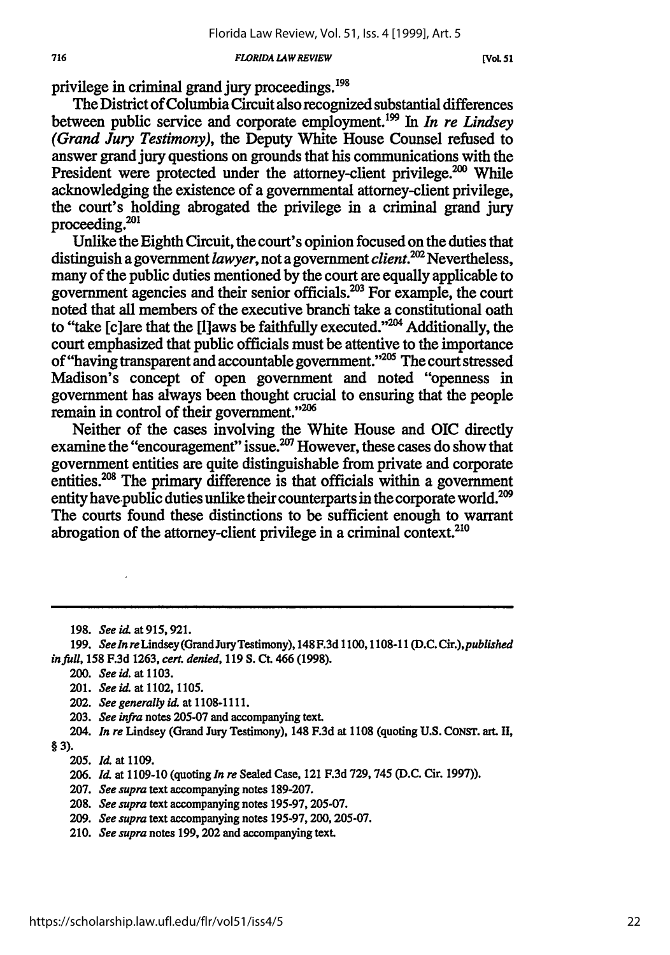#### *FLORIDA LAWREVIEW*

**[VoL** *51*

privilege in criminal grand jury proceedings.<sup>198</sup>

The District of Columbia Circuit also recognized substantial differences between public service and corporate employment.199 In *In re Lindsey (Grand Jury Testimony),* the Deputy White House Counsel refused to answer grand jury questions on grounds that his communications with the President were protected under the attorney-client privilege.<sup>200</sup> While acknowledging the existence of a governmental attorney-client privilege, the court's holding abrogated the privilege in a criminal grand jury proceeding.<sup>201</sup>

Unlike the Eighth Circuit, the court's opinion focused on the duties that distinguish a government *lawyer,* not a government *client.2°2* Nevertheless, many of the public duties mentioned by the court are equally applicable to government agencies and their senior officials.<sup>203</sup> For example, the court noted that all members of the executive branch take a constitutional oath to "take [c]are that the [I]aws be faithfully executed."<sup>204</sup> Additionally, the court emphasized that public officials must be attentive to the importance of "having transparent and accountable government."<sup>205</sup> The court stressed Madison's concept of open government and noted "openness in government has always been thought crucial to ensuring that the people remain in control of their government."<sup>206</sup>

Neither of the cases involving the White House and OIC directly examine the "encouragement" issue.<sup>207</sup> However, these cases do show that government entities are quite distinguishable from private and corporate entities.<sup>208</sup> The primary difference is that officials within a government entity have-public duties unlike their counterparts in the corporate world.<sup>209</sup> The courts found these distinctions to be sufficient enough to warrant abrogation of the attorney-client privilege in a criminal context.<sup>210</sup>

- 200. *See id.* at **1103.**
- 201. *See id.* at **1102,1105.**
- 202. See generally **id.** at **1108-1111.**
- **203.** *See infra* notes **205-07** and accompanying text.
- 204. *In re* Lindsey (Grand Jury Testimony), 148 **F.3d** at **1108** (quoting **U.S.** CONST. art. **II,**
- **§ 3).**

- **207.** *See supra* text accompanying notes **189-207.**
- **208.** *See supra* text accompanying notes **195-97, 205-07.**
- **209.** *See supra* text accompanying notes **195-97,** 200, **205-07.**
- 210. *See supra* notes **199,** 202 and accompanying text.

**<sup>198.</sup>** *Seeid.* at915,921.

**<sup>199.</sup>** *Seeln* reLindsey(GrandJuryTestimony), 148 **F.3d 1100,1108-11 (D.C.** *Cir.),published in full,* **158 F.3d 1263,** *cert. denied,* **119 S. Ct.** 466 **(1998).**

**<sup>205.</sup>** *Id* at **1109.**

**<sup>206.</sup>** *Id.* at **1109-10** (quoting *In re* Sealed Case, 121 **F.3d 729,745 (D.C.** Cir. **1997)).**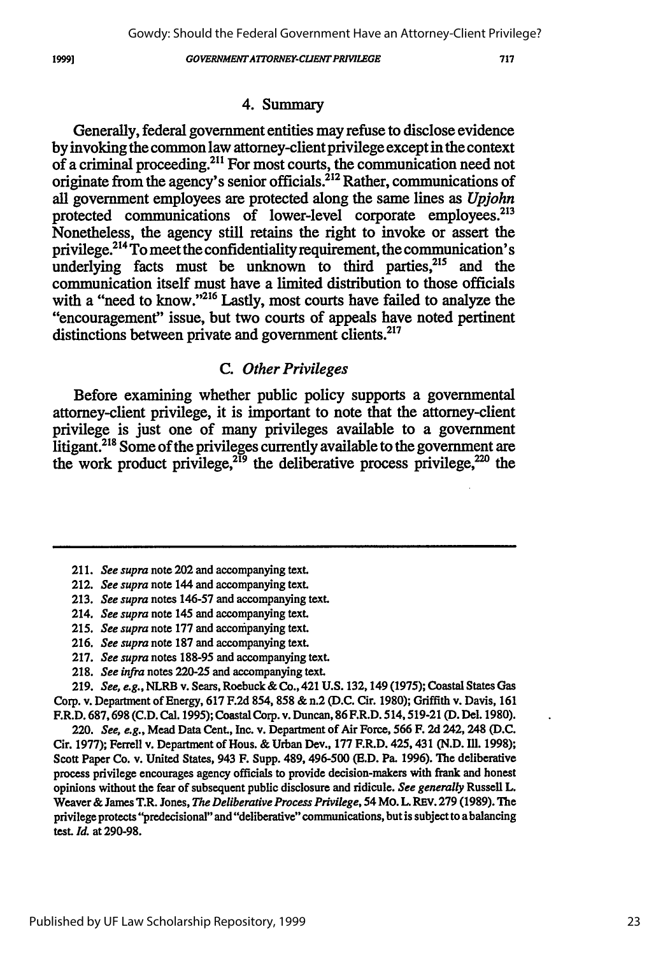#### *GOVERiNMENTATFORNEY-CUENT PRVILEGE*

### 4. Summary

Generally, federal government entities may refuse to disclose evidence **by** invoking the common law attorney-client privilege except in the context of a criminal proceeding.<sup>211</sup> For most courts, the communication need not originate from the agency's senior officials.<sup>212</sup> Rather, communications of all government employees are protected along the same lines as *Upjohn* protected communications of lower-level corporate employees.<sup>213</sup> Nonetheless, the agency still retains the right to invoke or assert the privilege.<sup>214</sup> To meet the confidentiality requirement, the communication's underlying facts must be unknown to third parties, $^{215}$  and the communication itself must have a limited distribution to those officials with a "need to know."<sup>216</sup> Lastly, most courts have failed to analyze the "encouragement" issue, but two courts of appeals have noted pertinent distinctions between private and government clients.<sup>217</sup>

## *C. Other Privileges*

Before examining whether public policy supports a governmental attorney-client privilege, it is important to note that the attorney-client privilege is just one of many privileges available to a government litigant.<sup>218</sup> Some of the privileges currently available to the government are the work product privilege, $2^{19}$  the deliberative process privilege, $2^{20}$  the

- 217. *See supra* notes 188-95 and accompanying text.
- **218.** *See* **infra** notes **220-25** and accompanying text.

**219.** *See, e.g.,* NLRB v. Sears, Roebuck & Co., 421 **U.S.** 132,149 **(1975);** Coastal States Gas Corp. v. Department of Energy, **617 F.2d** 854, **858** & n.2 **(D.C.** Cir. **1980);** Griffith v. Davis, **161** F.R.D. **687,698 (C.D.** Cal. **1995);** Coastal Corp. v. Duncan, **86** F.R.D. 514,519-21 **(D.** Del. **1980).**

220. *See, e.g.,* Mead Data Cent., Inc. v. Department of Air Force, **566** F. **2d** 242,248 **(D.C.** Cir. **1977);** Ferrell v. Department of Hous. & Urban Dev., 177 F.R.D. 425, 431 **(N.D. Ill. 1998);** Scott Paper Co. v. United States, 943 F. Supp. 489, 496-500 **(E.D.** Pa. **1996). The** deliberative process privilege encourages agency officials to provide decision-makers with frank and honest opinions without the fear of subsequent public disclosure and ridicule. *See generally* Russell L. Weaver **&** James T.R. Jones, *The Deliberative Process Privilege,* 54 MO. L. REV. **279 (1989).** The privilege protects "predecisional" and "deliberative" communications, but is subject to a balancing test. *Id.* at **290-98.**

<sup>211.</sup> *See supra* note 202 and accompanying text.

<sup>212.</sup> *See supra* note 144 and accompanying text.

<sup>213.</sup> *See supra* notes 146-57 and accompanying text.

<sup>214.</sup> *See supra* note 145 and accompanying text.

<sup>215.</sup> *See supra* note 177 and accompanying text.

<sup>216.</sup> *See supra* note **187** and accompanying text.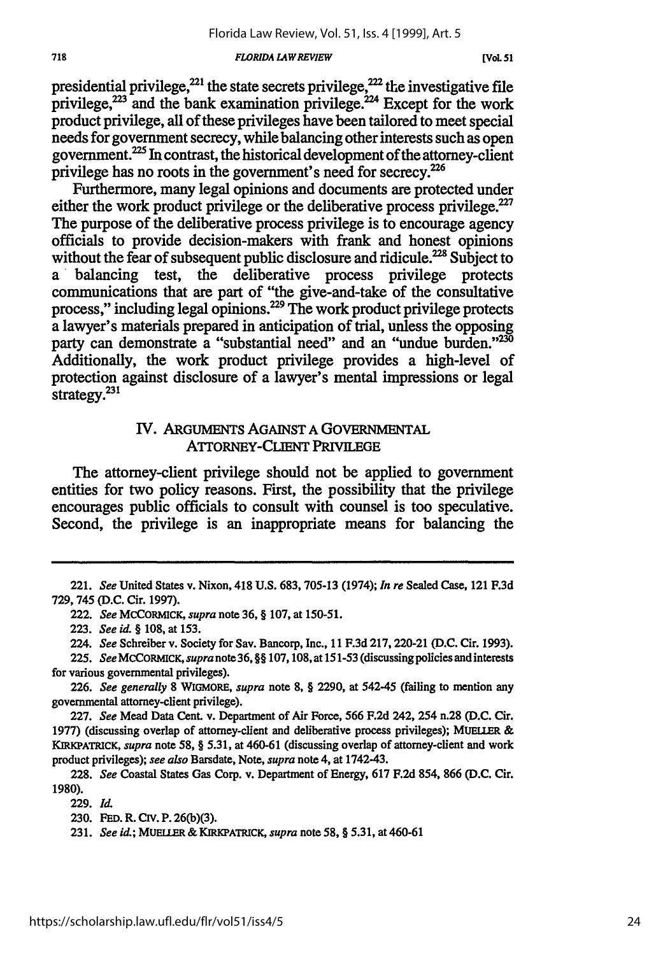#### *FLORIDA L4W REVIEW*

presidential privilege, $^{221}$  the state secrets privilege, $^{222}$  the investigative file privilege, $2^{23}$  and the bank examination privilege.<sup> $224$ </sup> Except for the work product privilege, all of these privileges have been tailored to meet special needs for government secrecy, while balancing other interests such as open government. $^{225}$  In contrast, the historical development of the attorney-client privilege has no roots in the government's need for secrecy.<sup>226</sup>

Furthermore, many legal opinions and documents are protected under either the work product privilege or the deliberative process privilege. $227$ The purpose of the deliberative process privilege is to encourage agency officials to provide decision-makers with frank and honest opinions without the fear of subsequent public disclosure and ridicule.<sup>228</sup> Subject to **a '** balancing test, the deliberative process privilege protects communications that are part of "the give-and-take of the consultative process," including legal opinions.<sup>229</sup> The work product privilege protects a lawyer's materials prepared in anticipation of trial, unless the opposing party can demonstrate a "substantial need" and an "undue burden."<sup>230</sup> Additionally, the work product privilege provides a high-level of protection against disclosure of a lawyer's mental impressions or legal strategy.<sup>231</sup>

### IV. ARGUMENTS AGAINST **A** GOVERNMENTAL ATTORNEY-CLIENT PRIVILEGE

The attorney-client privilege should not be applied to government entities for two policy reasons. First, the possibility that the privilege encourages public officials to consult with counsel is too speculative. Second, the privilege is an inappropriate means for balancing the

<sup>221.</sup> *See* United States v. Nixon, 418 U.S. 683, 705-13 (1974); *In re* Sealed Case, 121 F.3d 729,745 (D.C. Cir. 1997).

<sup>222.</sup> *See* MCCORMICK, *supra* note 36, § 107, at 150-51.

<sup>223.</sup> *See id.* § 108, at 153.

<sup>224.</sup> *See* Schreiber v. Society for Sav. Bancorp, Inc., 11 **F.3d 217,** 220-21 **(D.C.** Cir. **1993).**

<sup>225.</sup> *See MCCORmICK, supranote36,* §§ 107,108, at 151-53 (discussing policies and interests for various governmental privileges).

<sup>226.</sup> *See generally* **8** WIGMORE, *supra* note 8, § 2290, at 542-45 (failing to mention any governmental attorney-client privilege).

<sup>227.</sup> *See* Mead Data Cent. v. Department of Air Force, 566 F.2d 242, 254 n.28 **(D.C.** Cir. 1977) (discussing overlap of attorney-client and deliberative process privileges); MELLER **& KIRKPATRICK,** *supra* note 58, § 5.31, at 460-61 (discussing overlap of attorney-client and work product privileges); *see also* Barsdate, Note, *supra* note 4, at 1742-43.

<sup>228.</sup> *See* Coastal States Gas Corp. v. Department of Energy, 617 F.2d 854, **866 (D.C.** Cir. 1980).

**<sup>229.</sup> Id.**

**<sup>230.</sup> FED.** R. **CIv.** P. **26(b)(3).**

<sup>231.</sup> *See Ui;* **MUELLER& KIRKPATRICK,** *supra* note 58, § 5.31, at 460-61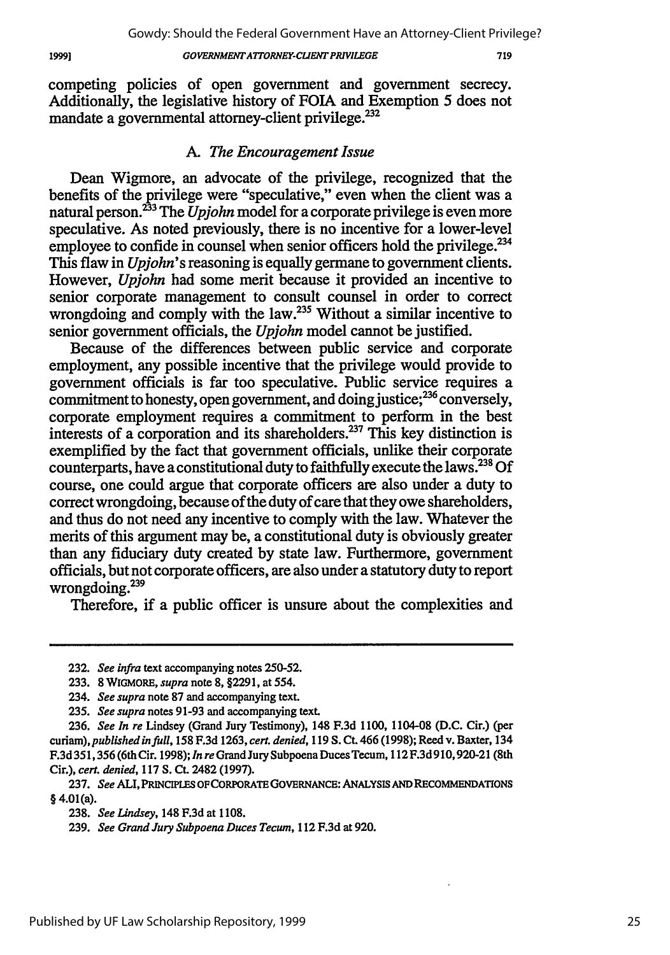719

competing policies of open government and government secrecy. Additionally, the legislative history of FOIA and Exemption 5 does not mandate a governmental attorney-client privilege.<sup>232</sup>

### *A. The Encouragement Issue*

Dean Wigmore, an advocate of the privilege, recognized that the benefits of the privilege were "speculative," even when the client was a natural person.233 The *Upjohn* model for a corporate privilege is even more speculative. As noted previously, there is no incentive for a lower-level employee to confide in counsel when senior officers hold the privilege.<sup>23</sup> This flaw in *Upjohn's* reasoning is equally germane to government clients. However, *Upjohn* had some merit because it provided an incentive to senior corporate management to consult counsel in order to correct wrongdoing and comply with the law.<sup>235</sup> Without a similar incentive to senior government officials, the *Upjohn* model cannot be justified.

Because of the differences between public service and corporate employment, any possible incentive that the privilege would provide to government officials is far too speculative. Public service requires a commitment to honesty, open government, and doing justice; $^{236}$  conversely, corporate employment requires a commitment to perform in the best interests of a corporation and its shareholders.<sup>237</sup> This key distinction is exemplified by the fact that government officials, unlike their corporate counterparts, have a constitutional duty to faithfully execute the laws. 238 Of course, one could argue that corporate officers are also under a duty to correct wrongdoing, because of the duty of care that they owe shareholders, and thus do not need any incentive to comply with the law. Whatever the merits of this argument may be, a constitutional duty is obviously greater than any fiduciary duty created by state law. Furthermore, government officials, but not corporate officers, are also under a statutory duty to report wrongdoing.239

Therefore, if a public officer is unsure about the complexities and

**237.** *See* **ALI, PRINCIPLES** OFCORPORATE **GOVERNANCE: ANALYSIS AND RECOMMENDATIONS** § 4.01(a).

19991

**<sup>232.</sup>** *See infra* text accompanying notes **250-52.**

**<sup>233.</sup>** 8 WIGMORE, *supra* note **8, §2291,** at 554.

<sup>234.</sup> *See supra* note **87** and accompanying text.

**<sup>235.</sup>** *See supra* notes **91-93** and accompanying text.

**<sup>236.</sup>** *See In re* Lindsey (Grand Jury Testimony), 148 **F.3d 1100,** 1104-08 **(D.C.** Cir.) (per *curiam), published in full,* **158 F.3d 1263,** *cert. denied,* **119 S.** Ct. 466 **(1998);** Reed v. Baxter, 134 **F.3d351,356** (6th Cir. **1998);** *In re* GrandJury Subpoena DucesTecum, **112F.3d 910,920-21** (8th Cir.), *cert. denied,* **117 S. CL** 2482 **(1997).**

**<sup>238.</sup>** *See Lindsey,* 148 **F.3d** at **1108.**

**<sup>239.</sup>** *See Grand Jury Subpoena Duces Tecum,* 112 **F.3d** at 920.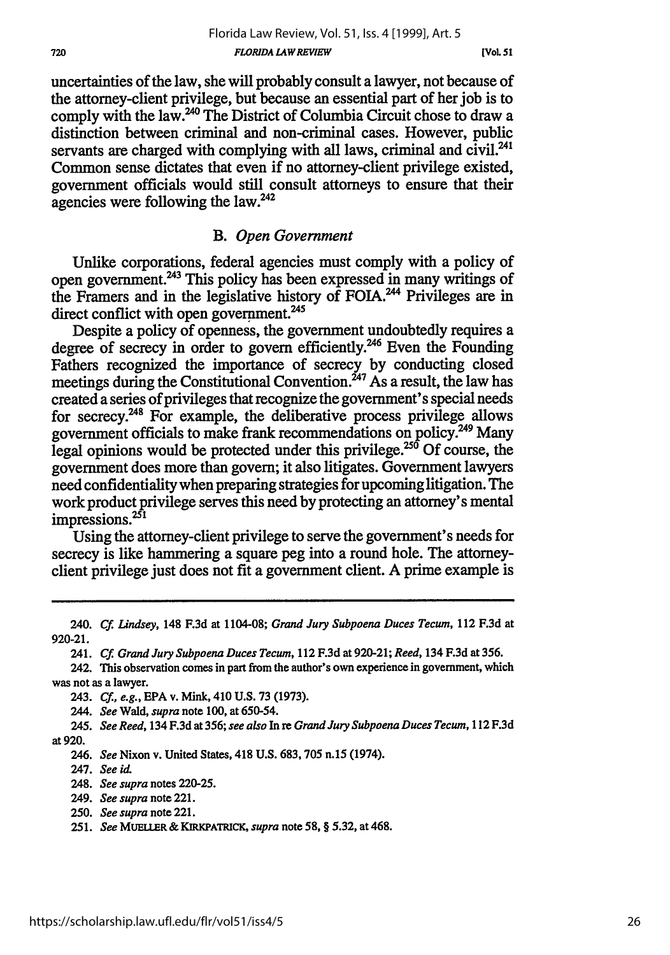was not as a lawyer.

**920-21.**

243. *Cf., e.g.,* **EPA** v. Mink, 410 U.S. 73 (1973).

244. *See* Wald, *supra* note 100, at 650-54.

245. *See Reed,* 134 F.3d at 356; *see also* In re *Grand Jury Subpoena Duces Tecum,* 112 F.3d at 920.

246. *See* Nixon v. United States, 418 U.S. 683, 705 n.15 (1974).

247. *See a*

248. *See supra* notes 220-25.

- 249. *See supra* note 221.
- 250. *See supra* note 221.

**251.** *See* **MUELLER & KIRKPATRICK,** *supra* note **58,** § **5.32,** at 468.

uncertainties of the law, she will probably consult a lawyer, not because of the attorney-client privilege, but because an essential part of her job is to comply with the law.<sup>240</sup> The District of Columbia Circuit chose to draw a distinction between criminal and non-criminal cases. However, public servants are charged with complying with all laws, criminal and civil.<sup>241</sup> Common sense dictates that even if no attorney-client privilege existed, government officials would still consult attorneys to ensure that their agencies were following the law.<sup>242</sup>

### *B. Open Government*

Unlike corporations, federal agencies must comply with a policy of open government.<sup>243</sup> This policy has been expressed in many writings of the Framers and in the legislative history of FOIA.<sup>244</sup> Privileges are in direct conflict with open government.<sup>245</sup>

Despite a policy of openness, the government undoubtedly requires a degree of secrecy in order to govern efficiently.<sup>246</sup> Even the Founding Fathers recognized the importance of secrecy by conducting closed meetings during the Constitutional Convention.<sup> $247$ </sup> As a result, the law has created a series of privileges that recognize the government's special needs for secrecy.<sup>248</sup> For example, the deliberative process privilege allows government officials to make frank recommendations on policy.<sup>249</sup> Many  $\frac{1}{20}$  course, the legal opinions would be protected under this privilege.<sup>250</sup> Of course, the government does more than govern; it also litigates. Government lawyers need confidentiality when preparing strategies for upcoming litigation. The work product privilege serves this need by protecting an attorney's mental impressions. $251$ 

Using the attorney-client privilege to serve the government's needs for secrecy is like hammering a square peg into a round hole. The attorneyclient privilege just does not fit a government client. A prime example is

240. *Cf. Lindsey,* **148 F.3d** at **1104-08;** *Grand Jury Subpoena Duces Tecum,* 112 **F.3d** at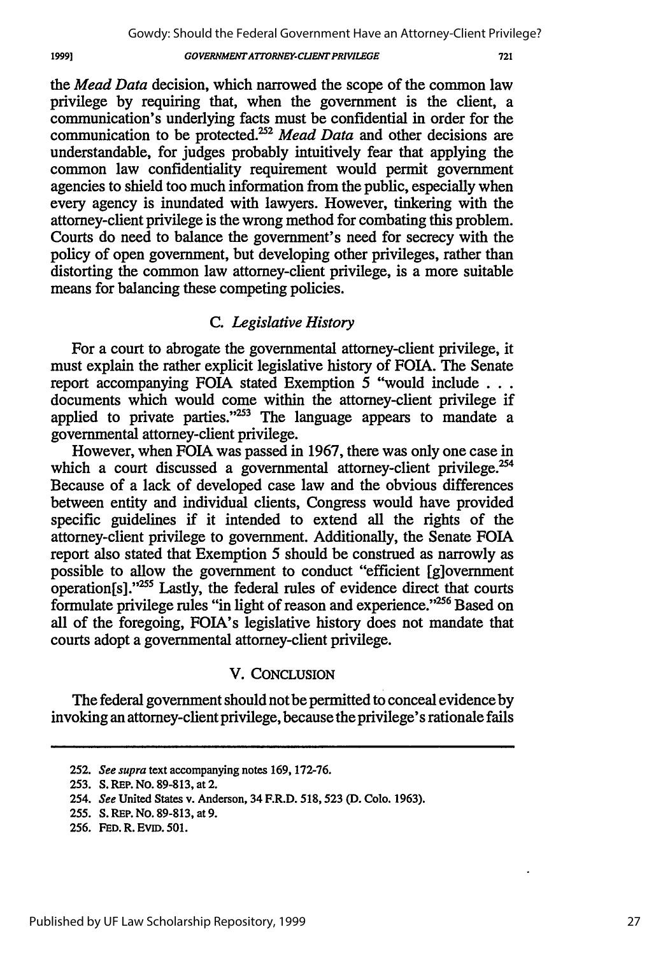the *Mead Data* decision, which narrowed the scope of the common law privilege by requiring that, when the government is the client, a communication's underlying facts must be confidential in order for the communication to be protected.<sup>252</sup> Mead Data and other decisions are understandable, for judges probably intuitively fear that applying the common law confidentiality requirement would permit government agencies to shield too much information from the public, especially when every agency is inundated with lawyers. However, tinkering with the attorney-client privilege is the wrong method for combating this problem. Courts do need to balance the government's need for secrecy with the policy of open government, but developing other privileges, rather than distorting the common law attorney-client privilege, is a more suitable means for balancing these competing policies.

### *C. Legislative History*

For a court to abrogate the governmental attorney-client privilege, it must explain the rather explicit legislative history of FOIA. The Senate report accompanying FOIA stated Exemption 5 "would include **. . .** documents which would come within the attorney-client privilege if applied to private parties." $253$  The language appears to mandate a governmental attorney-client privilege.

However, when FOIA was passed in 1967, there was only one case in which a court discussed a governmental attorney-client privilege. $254$ Because of a lack of developed case law and the obvious differences between entity and individual clients, Congress would have provided specific guidelines if it intended to extend all the rights of the attorney-client privilege to government. Additionally, the Senate FOIA report also stated that Exemption 5 should be construed as narrowly as possible to allow the government to conduct "efficient [g]overnment operation[s]."<sup>255</sup> Lastly, the federal rules of evidence direct that courts formulate privilege rules "in light of reason and experience."<sup>256</sup> Based on all of the foregoing, FOIA's legislative history does not mandate that courts adopt a governmental attorney-client privilege.

### V. CONCLUSION

The federal government should not be permitted to conceal evidence by invoking an attorney-client privilege, because the privilege's rationale fails

256. **FED.** R. EviD. 501.

<sup>252.</sup> *See supra* text accompanying notes 169, 172-76.

<sup>253.</sup> **S.** REP. No. 89-813, at 2.

*<sup>254.</sup> See* United States v. Anderson, 34 F.R.D. 518, **523** (D. Colo. 1963).

<sup>255.</sup> **S.** REP. No. 89-813, at 9.